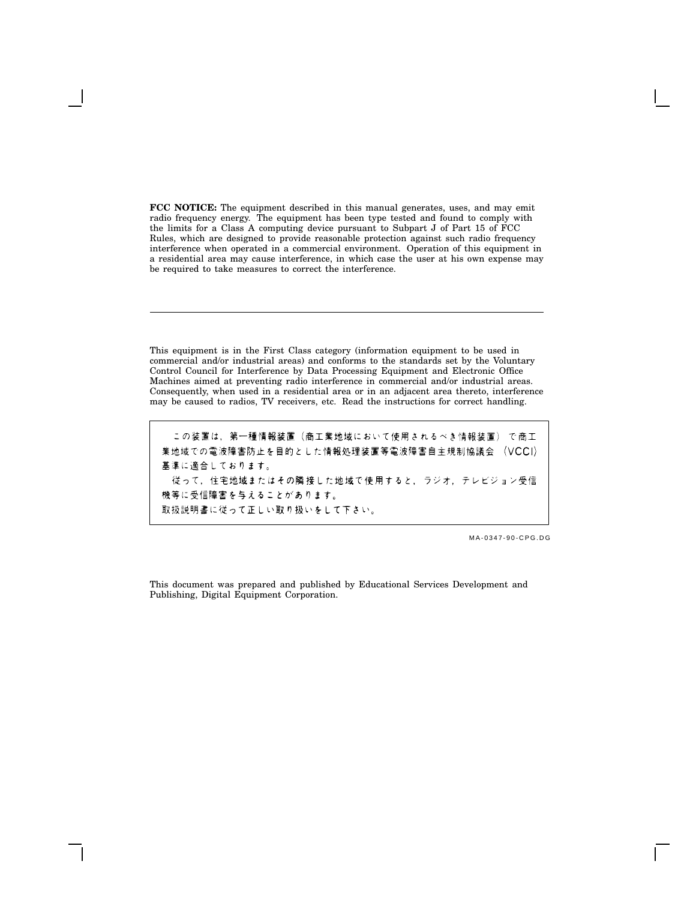**FCC NOTICE:** The equipment described in this manual generates, uses, and may emit radio frequency energy. The equipment has been type tested and found to comply with the limits for a Class A computing device pursuant to Subpart J of Part 15 of FCC Rules, which are designed to provide reasonable protection against such radio frequency interference when operated in a commercial environment. Operation of this equipment in a residential area may cause interference, in which case the user at his own expense may be required to take measures to correct the interference.

This equipment is in the First Class category (information equipment to be used in commercial and/or industrial areas) and conforms to the standards set by the Voluntary Control Council for Interference by Data Processing Equipment and Electronic Office Machines aimed at preventing radio interference in commercial and/or industrial areas. Consequently, when used in a residential area or in an adjacent area thereto, interference may be caused to radios, TV receivers, etc. Read the instructions for correct handling.

この装置は,第一種情報装置(商工業地域において使用されるべき情報装置) で商工 業地域での電波障害防止を目的とした情報処理装置等電波障害自主規制協議会 (VCCI) 基準に適合しております。 従って、住宅地域またはその隣接した地域で使用すると、ラジオ、テレビジョン受信 機等に受信障害を与えることがあります。 取扱説明書に従って正しい取り扱いをして下さい。

MA-0347-90-CPG.DG

This document was prepared and published by Educational Services Development and Publishing, Digital Equipment Corporation.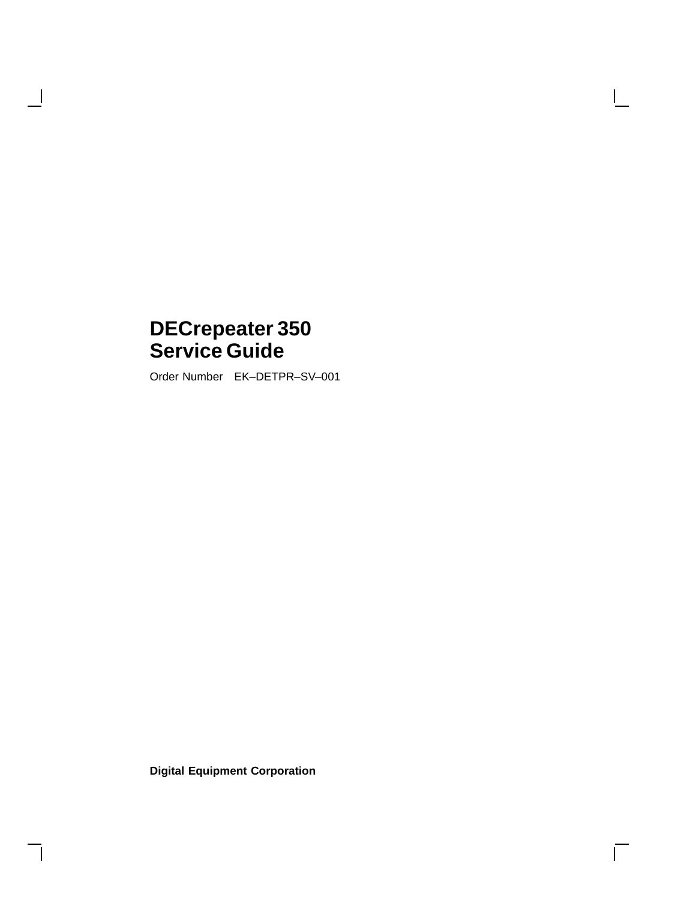# **DECrepeater 350 Service Guide**

 $\overline{\phantom{a}}$ 

Order Number EK–DETPR–SV–001

**Digital Equipment Corporation**

 $\overline{\Gamma}$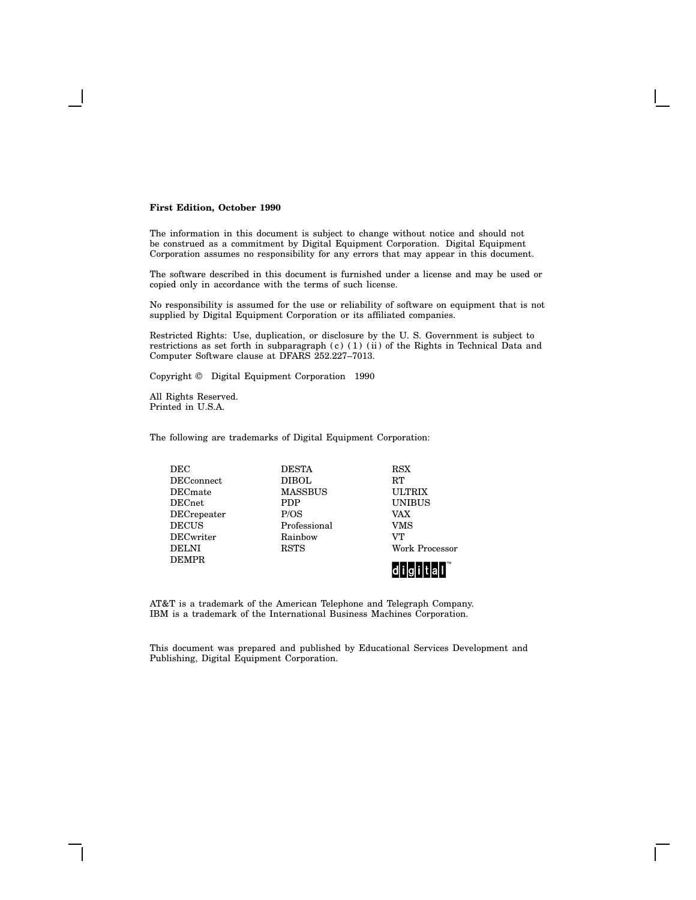#### **First Edition, October 1990**

The information in this document is subject to change without notice and should not be construed as a commitment by Digital Equipment Corporation. Digital Equipment Corporation assumes no responsibility for any errors that may appear in this document.

The software described in this document is furnished under a license and may be used or copied only in accordance with the terms of such license.

No responsibility is assumed for the use or reliability of software on equipment that is not supplied by Digital Equipment Corporation or its affiliated companies.

Restricted Rights: Use, duplication, or disclosure by the U. S. Government is subject to restrictions as set forth in subparagraph (c) (1) (ii) of the Rights in Technical Data and Computer Software clause at DFARS 252.227–7013.

Copyright © Digital Equipment Corporation 1990

All Rights Reserved. Printed in U.S.A.

The following are trademarks of Digital Equipment Corporation:

| <b>DEC</b>         | <b>DESTA</b>   | <b>RSX</b>        |  |
|--------------------|----------------|-------------------|--|
| <b>DECconnect</b>  | DIBOL.         | RT                |  |
| <b>DEC</b> mate    | <b>MASSBUS</b> | <b>ULTRIX</b>     |  |
| <b>DECnet</b>      | <b>PDP</b>     | <b>UNIBUS</b>     |  |
| <b>DECrepeater</b> | P/OS           | <b>VAX</b>        |  |
| <b>DECUS</b>       | Professional   | VMS               |  |
| <b>DECwriter</b>   | Rainbow        | VТ                |  |
| <b>DELNI</b>       | <b>RSTS</b>    | Work Processor    |  |
| <b>DEMPR</b>       |                | $\blacksquare$ TM |  |

AT&T is a trademark of the American Telephone and Telegraph Company. IBM is a trademark of the International Business Machines Corporation.

This document was prepared and published by Educational Services Development and Publishing, Digital Equipment Corporation.

digital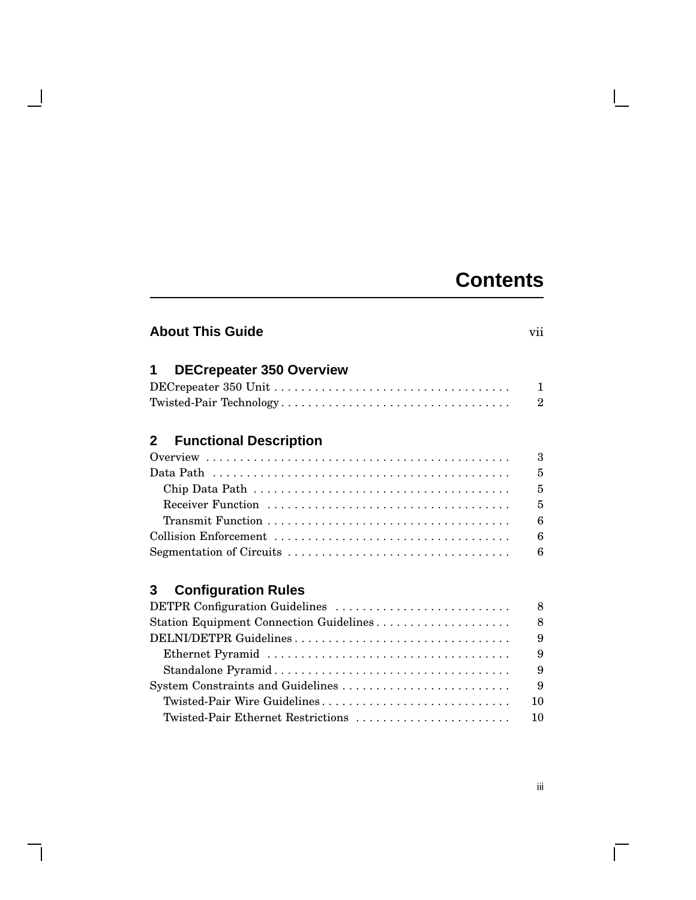# **Contents**

 $\mathbf{I}$ 

| <b>About This Guide</b>                 | vii            |
|-----------------------------------------|----------------|
| <b>DECrepeater 350 Overview</b><br>1    |                |
|                                         | $\mathbf{1}$   |
|                                         | $\overline{2}$ |
| <b>Functional Description</b><br>2      |                |
|                                         | 3              |
|                                         | 5              |
|                                         | $\overline{5}$ |
|                                         | 5              |
|                                         | 6              |
|                                         | 6              |
|                                         | 6              |
| <b>Configuration Rules</b><br>3         |                |
| DETPR Configuration Guidelines          | 8              |
| Station Equipment Connection Guidelines | 8              |
| DELNI/DETPR Guidelines                  | 9              |
|                                         | 9              |
|                                         | 9              |
| System Constraints and Guidelines       | 9              |
| Twisted-Pair Wire Guidelines            | 10             |
| Twisted-Pair Ethernet Restrictions      | 10             |

 $\overline{\phantom{a}}$ 

 $\overline{\Gamma}$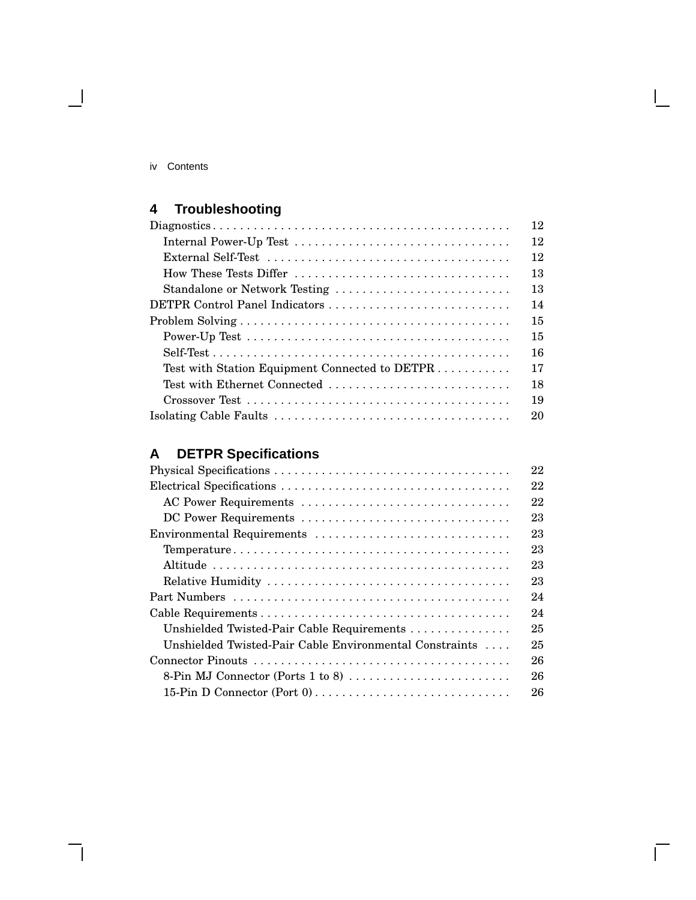| IV | Contents |
|----|----------|
|    |          |

 $\blacksquare$ 

# **4 Troubleshooting**

|                                                | 12 |
|------------------------------------------------|----|
|                                                | 12 |
|                                                | 12 |
| How These Tests Differ                         | 13 |
| Standalone or Network Testing                  | 13 |
| DETPR Control Panel Indicators                 | 14 |
|                                                | 15 |
|                                                | 15 |
|                                                | 16 |
| Test with Station Equipment Connected to DETPR | 17 |
| Test with Ethernet Connected                   | 18 |
|                                                | 19 |
|                                                | 20 |

# **A DETPR Specifications**

|                                                                               | 22 |
|-------------------------------------------------------------------------------|----|
|                                                                               | 22 |
| AC Power Requirements                                                         | 22 |
| DC Power Requirements                                                         | 23 |
| Environmental Requirements                                                    | 23 |
|                                                                               | 23 |
|                                                                               | 23 |
|                                                                               | 23 |
|                                                                               | 24 |
|                                                                               | 24 |
| Unshielded Twisted-Pair Cable Requirements                                    | 25 |
| Unshielded Twisted-Pair Cable Environmental Constraints                       | 25 |
|                                                                               | 26 |
| 8-Pin MJ Connector (Ports 1 to 8) $\dots \dots \dots \dots \dots \dots \dots$ | 26 |
|                                                                               | 26 |

 $\bar{\Gamma}$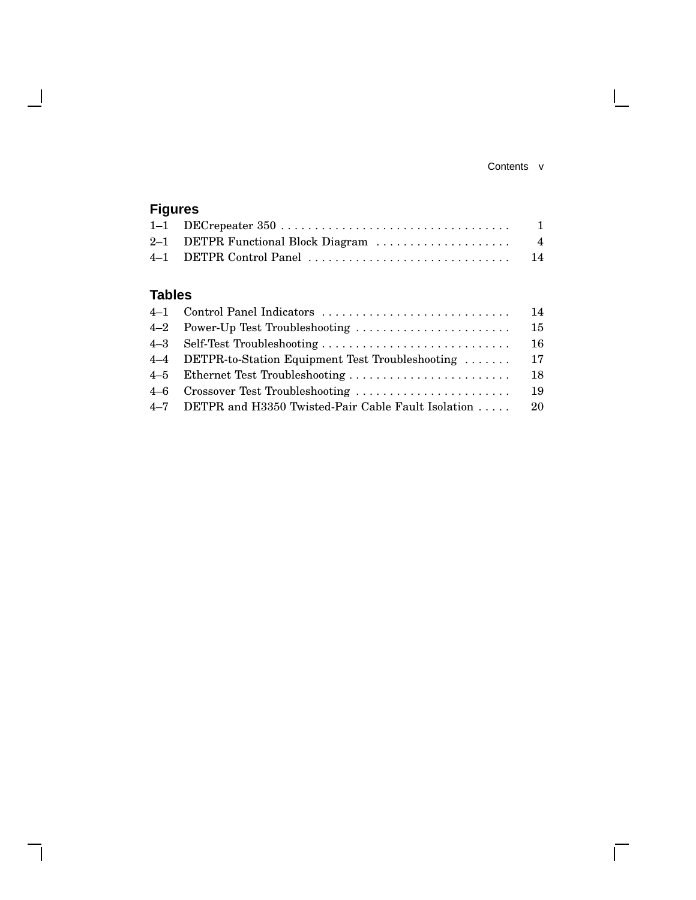#### Contents v

 $\overline{\Gamma}$ 

# **Figures** 1–1 DECrepeater 350 . . . . . . . . . . . . . . . . . . . . . . . . . . . . . . . . . . 1 2–1 DETPR Functional Block Diagram . . . . . . . . . . . . . . . . . . . . 4 4–1 DETPR Control Panel . . . . . . . . . . . . . . . . . . . . . . . . . . . . . . 14

## **Tables**

|                                                        | 15  |
|--------------------------------------------------------|-----|
|                                                        |     |
| 4–4 DETPR-to-Station Equipment Test Troubleshooting    | 17  |
|                                                        | -18 |
|                                                        | -19 |
| 4-7 DETPR and H3350 Twisted-Pair Cable Fault Isolation | -20 |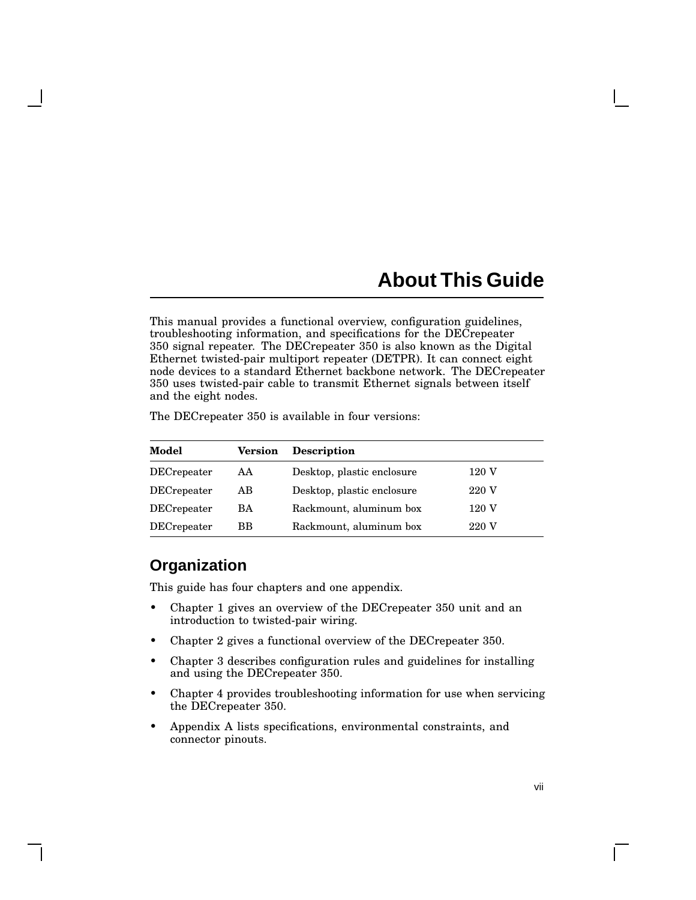# **About This Guide**

This manual provides a functional overview, configuration guidelines, troubleshooting information, and specifications for the DECrepeater 350 signal repeater. The DECrepeater 350 is also known as the Digital Ethernet twisted-pair multiport repeater (DETPR). It can connect eight node devices to a standard Ethernet backbone network. The DECrepeater 350 uses twisted-pair cable to transmit Ethernet signals between itself and the eight nodes.

The DECrepeater 350 is available in four versions:

| Model               | <b>Version</b> | <b>Description</b>         |       |
|---------------------|----------------|----------------------------|-------|
| <b>DEC</b> repeater | AA             | Desktop, plastic enclosure | 120 V |
| DECrepeater         | AB             | Desktop, plastic enclosure | 220 V |
| DECrepeater         | BA             | Rackmount, aluminum box    | 120 V |
| <b>DECrepeater</b>  | ВB             | Rackmount, aluminum box    | 220 V |

## **Organization**

This guide has four chapters and one appendix.

- Chapter 1 gives an overview of the DECrepeater 350 unit and an introduction to twisted-pair wiring.
- Chapter 2 gives a functional overview of the DECrepeater 350.
- Chapter 3 describes configuration rules and guidelines for installing and using the DECrepeater 350.
- Chapter 4 provides troubleshooting information for use when servicing the DECrepeater 350.
- Appendix A lists specifications, environmental constraints, and connector pinouts.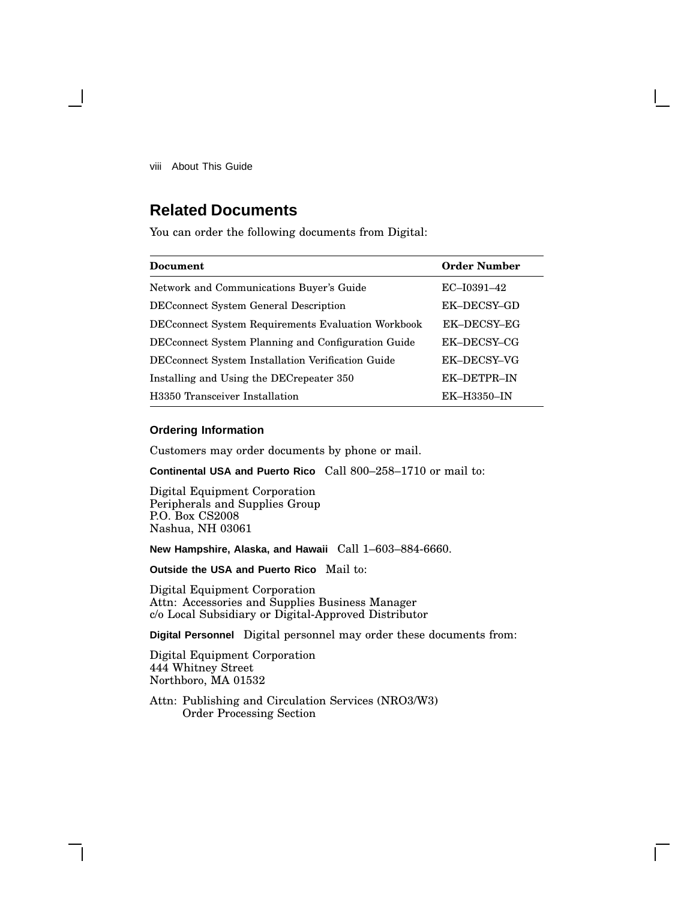viii About This Guide

# **Related Documents**

You can order the following documents from Digital:

| Document                                                   | <b>Order Number</b> |
|------------------------------------------------------------|---------------------|
| Network and Communications Buyer's Guide                   | EC-I0391-42         |
| <b>DEC</b> connect System General Description              | EK-DECSY-GD         |
| <b>DEC</b> connect System Requirements Evaluation Workbook | EK-DECSY-EG         |
| DEC connect System Planning and Configuration Guide        | EK-DECSY-CG         |
| DECconnect System Installation Verification Guide          | EK-DECSY-VG         |
| Installing and Using the DEC repeater 350                  | EK-DETPR-IN         |
| H3350 Transceiver Installation                             | EK-H3350-IN         |

#### **Ordering Information**

Customers may order documents by phone or mail.

**Continental USA and Puerto Rico** Call 800–258–1710 or mail to:

Digital Equipment Corporation Peripherals and Supplies Group P.O. Box CS2008 Nashua, NH 03061

**New Hampshire, Alaska, and Hawaii** Call 1–603–884-6660.

**Outside the USA and Puerto Rico** Mail to:

Digital Equipment Corporation Attn: Accessories and Supplies Business Manager c/o Local Subsidiary or Digital-Approved Distributor

**Digital Personnel** Digital personnel may order these documents from:

Digital Equipment Corporation 444 Whitney Street Northboro, MA 01532

Attn: Publishing and Circulation Services (NRO3/W3) Order Processing Section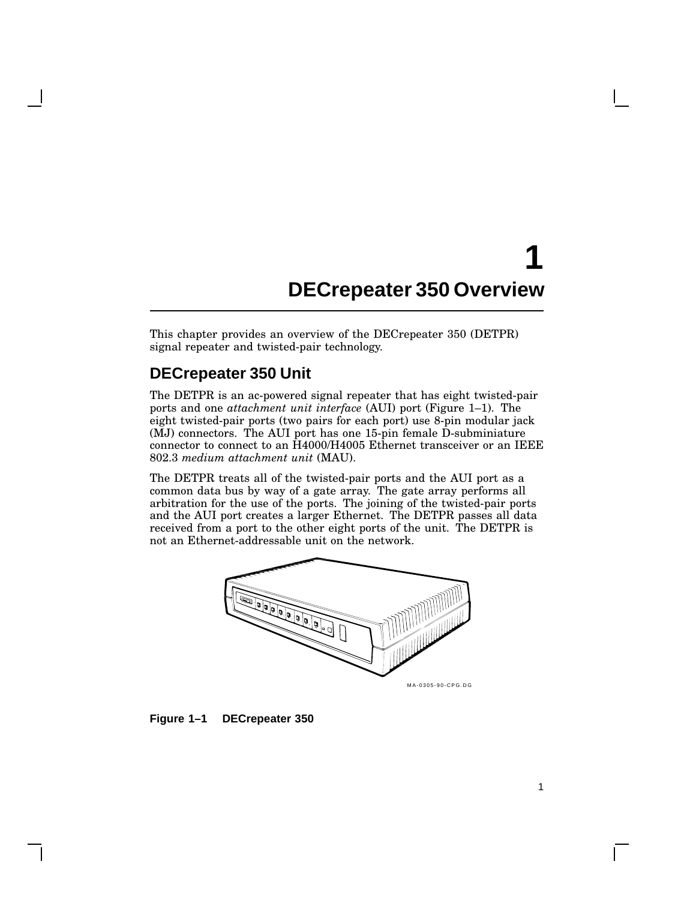# **1 DECrepeater 350 Overview**

This chapter provides an overview of the DECrepeater 350 (DETPR) signal repeater and twisted-pair technology.

## **DECrepeater 350 Unit**

The DETPR is an ac-powered signal repeater that has eight twisted-pair ports and one *attachment unit interface* (AUI) port (Figure 1–1). The eight twisted-pair ports (two pairs for each port) use 8-pin modular jack (MJ) connectors. The AUI port has one 15-pin female D-subminiature connector to connect to an H4000/H4005 Ethernet transceiver or an IEEE 802.3 *medium attachment unit* (MAU).

The DETPR treats all of the twisted-pair ports and the AUI port as a common data bus by way of a gate array. The gate array performs all arbitration for the use of the ports. The joining of the twisted-pair ports and the AUI port creates a larger Ethernet. The DETPR passes all data received from a port to the other eight ports of the unit. The DETPR is not an Ethernet-addressable unit on the network.



**Figure 1–1 DECrepeater 350**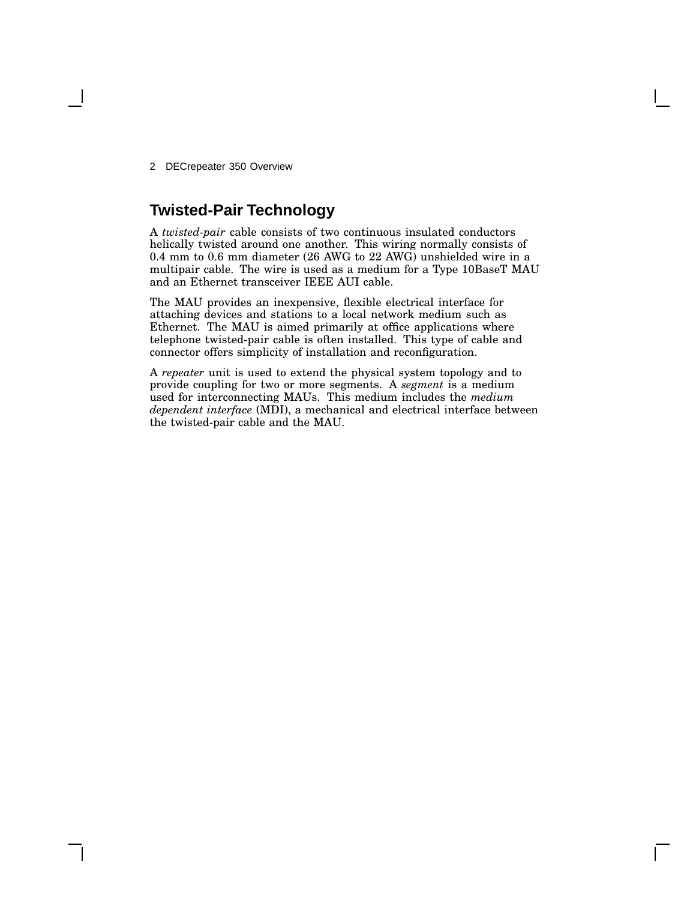2 DECrepeater 350 Overview

# **Twisted-Pair Technology**

A *twisted-pair* cable consists of two continuous insulated conductors helically twisted around one another. This wiring normally consists of 0.4 mm to 0.6 mm diameter (26 AWG to 22 AWG) unshielded wire in a multipair cable. The wire is used as a medium for a Type 10BaseT MAU and an Ethernet transceiver IEEE AUI cable.

The MAU provides an inexpensive, flexible electrical interface for attaching devices and stations to a local network medium such as Ethernet. The MAU is aimed primarily at office applications where telephone twisted-pair cable is often installed. This type of cable and connector offers simplicity of installation and reconfiguration.

A *repeater* unit is used to extend the physical system topology and to provide coupling for two or more segments. A *segment* is a medium used for interconnecting MAUs. This medium includes the *medium dependent interface* (MDI), a mechanical and electrical interface between the twisted-pair cable and the MAU.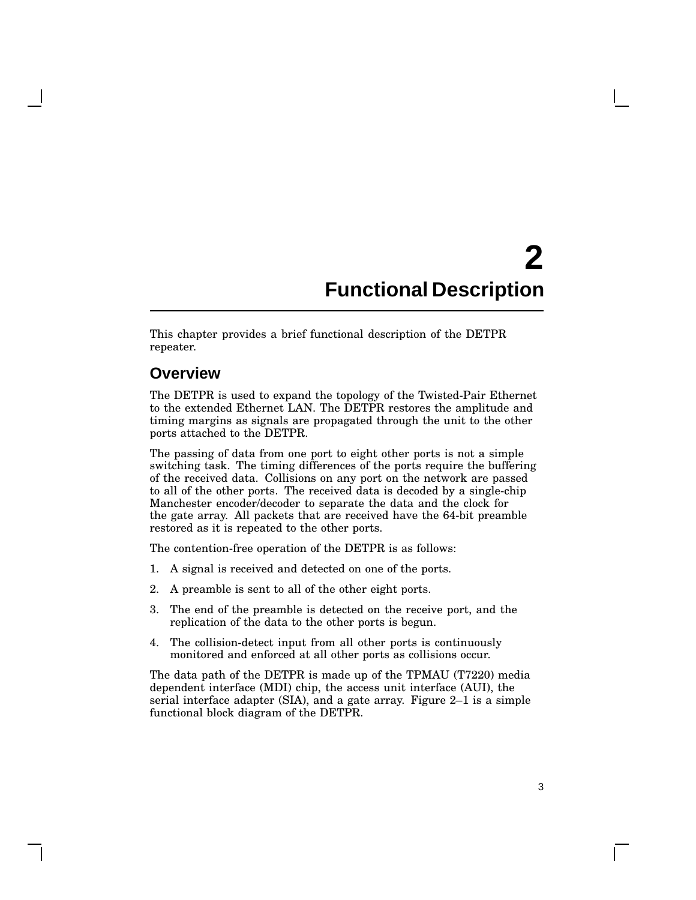# **2 Functional Description**

This chapter provides a brief functional description of the DETPR repeater.

### **Overview**

The DETPR is used to expand the topology of the Twisted-Pair Ethernet to the extended Ethernet LAN. The DETPR restores the amplitude and timing margins as signals are propagated through the unit to the other ports attached to the DETPR.

The passing of data from one port to eight other ports is not a simple switching task. The timing differences of the ports require the buffering of the received data. Collisions on any port on the network are passed to all of the other ports. The received data is decoded by a single-chip Manchester encoder/decoder to separate the data and the clock for the gate array. All packets that are received have the 64-bit preamble restored as it is repeated to the other ports.

The contention-free operation of the DETPR is as follows:

- 1. A signal is received and detected on one of the ports.
- 2. A preamble is sent to all of the other eight ports.
- 3. The end of the preamble is detected on the receive port, and the replication of the data to the other ports is begun.
- 4. The collision-detect input from all other ports is continuously monitored and enforced at all other ports as collisions occur.

The data path of the DETPR is made up of the TPMAU (T7220) media dependent interface (MDI) chip, the access unit interface (AUI), the serial interface adapter (SIA), and a gate array. Figure 2–1 is a simple functional block diagram of the DETPR.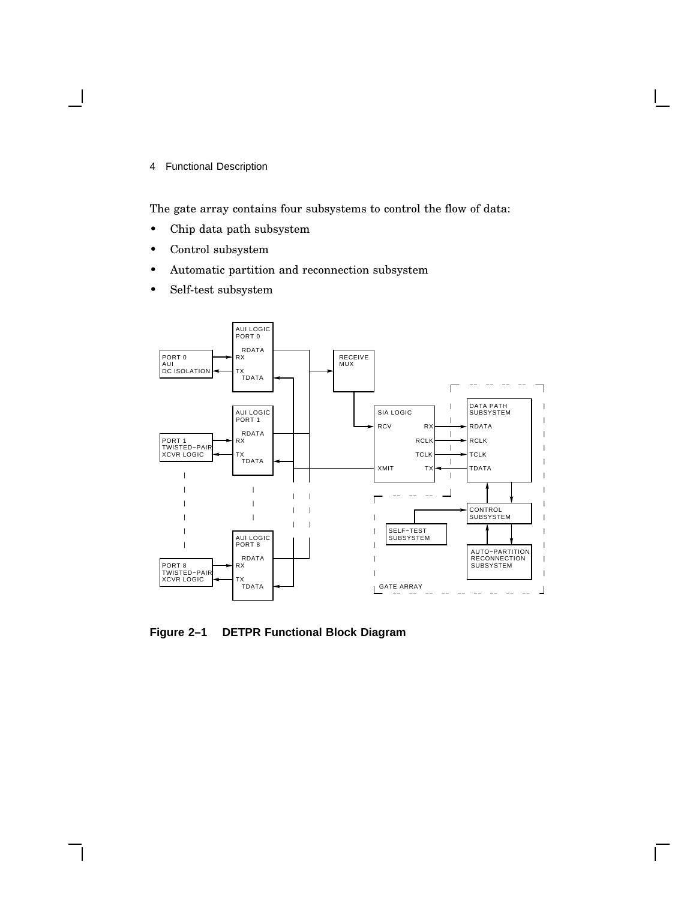4 Functional Description

The gate array contains four subsystems to control the flow of data:

- Chip data path subsystem
- Control subsystem
- Automatic partition and reconnection subsystem
- Self-test subsystem



**Figure 2–1 DETPR Functional Block Diagram**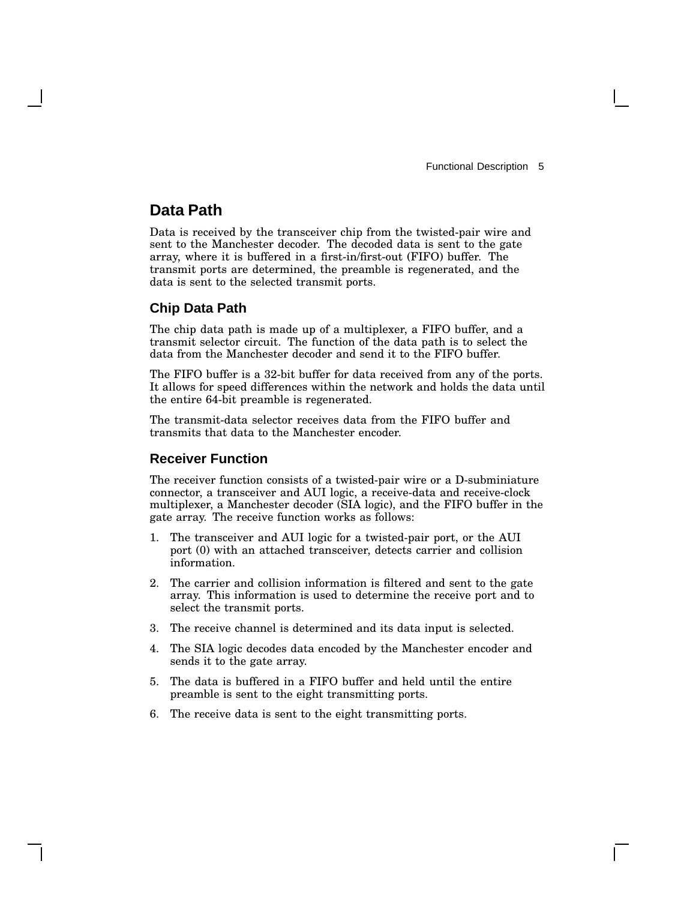## **Data Path**

Data is received by the transceiver chip from the twisted-pair wire and sent to the Manchester decoder. The decoded data is sent to the gate array, where it is buffered in a first-in/first-out (FIFO) buffer. The transmit ports are determined, the preamble is regenerated, and the data is sent to the selected transmit ports.

### **Chip Data Path**

The chip data path is made up of a multiplexer, a FIFO buffer, and a transmit selector circuit. The function of the data path is to select the data from the Manchester decoder and send it to the FIFO buffer.

The FIFO buffer is a 32-bit buffer for data received from any of the ports. It allows for speed differences within the network and holds the data until the entire 64-bit preamble is regenerated.

The transmit-data selector receives data from the FIFO buffer and transmits that data to the Manchester encoder.

#### **Receiver Function**

The receiver function consists of a twisted-pair wire or a D-subminiature connector, a transceiver and AUI logic, a receive-data and receive-clock multiplexer, a Manchester decoder (SIA logic), and the FIFO buffer in the gate array. The receive function works as follows:

- 1. The transceiver and AUI logic for a twisted-pair port, or the AUI port (0) with an attached transceiver, detects carrier and collision information.
- 2. The carrier and collision information is filtered and sent to the gate array. This information is used to determine the receive port and to select the transmit ports.
- 3. The receive channel is determined and its data input is selected.
- 4. The SIA logic decodes data encoded by the Manchester encoder and sends it to the gate array.
- 5. The data is buffered in a FIFO buffer and held until the entire preamble is sent to the eight transmitting ports.
- 6. The receive data is sent to the eight transmitting ports.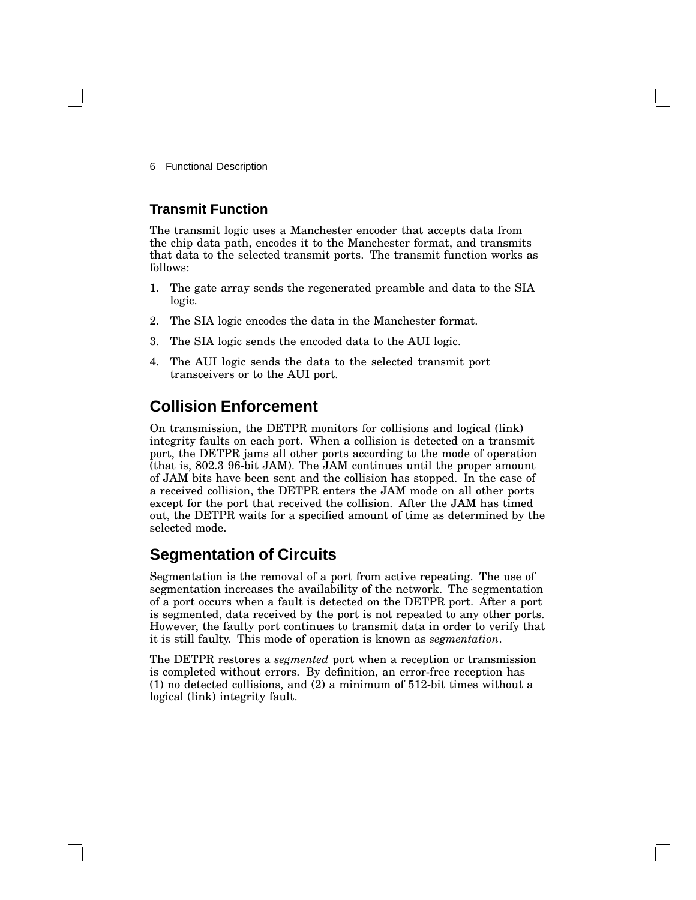6 Functional Description

#### **Transmit Function**

The transmit logic uses a Manchester encoder that accepts data from the chip data path, encodes it to the Manchester format, and transmits that data to the selected transmit ports. The transmit function works as follows:

- 1. The gate array sends the regenerated preamble and data to the SIA logic.
- 2. The SIA logic encodes the data in the Manchester format.
- 3. The SIA logic sends the encoded data to the AUI logic.
- 4. The AUI logic sends the data to the selected transmit port transceivers or to the AUI port.

## **Collision Enforcement**

On transmission, the DETPR monitors for collisions and logical (link) integrity faults on each port. When a collision is detected on a transmit port, the DETPR jams all other ports according to the mode of operation (that is, 802.3 96-bit JAM). The JAM continues until the proper amount of JAM bits have been sent and the collision has stopped. In the case of a received collision, the DETPR enters the JAM mode on all other ports except for the port that received the collision. After the JAM has timed out, the DETPR waits for a specified amount of time as determined by the selected mode.

## **Segmentation of Circuits**

Segmentation is the removal of a port from active repeating. The use of segmentation increases the availability of the network. The segmentation of a port occurs when a fault is detected on the DETPR port. After a port is segmented, data received by the port is not repeated to any other ports. However, the faulty port continues to transmit data in order to verify that it is still faulty. This mode of operation is known as *segmentation*.

The DETPR restores a *segmented* port when a reception or transmission is completed without errors. By definition, an error-free reception has (1) no detected collisions, and (2) a minimum of 512-bit times without a logical (link) integrity fault.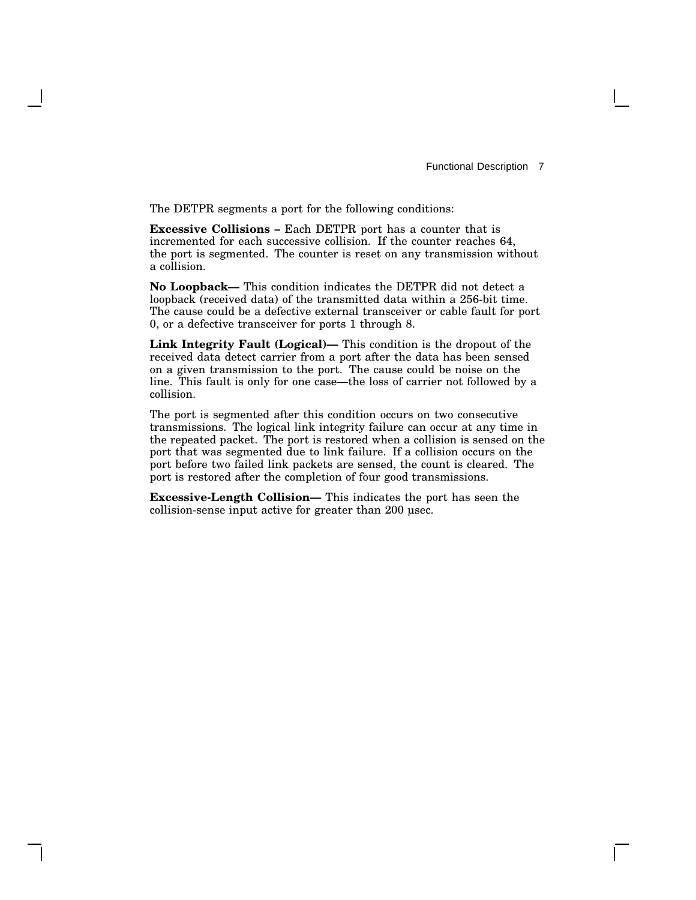The DETPR segments a port for the following conditions:

**Excessive Collisions –** Each DETPR port has a counter that is incremented for each successive collision. If the counter reaches 64, the port is segmented. The counter is reset on any transmission without a collision.

**No Loopback—** This condition indicates the DETPR did not detect a loopback (received data) of the transmitted data within a 256-bit time. The cause could be a defective external transceiver or cable fault for port 0, or a defective transceiver for ports 1 through 8.

**Link Integrity Fault (Logical)—** This condition is the dropout of the received data detect carrier from a port after the data has been sensed on a given transmission to the port. The cause could be noise on the line. This fault is only for one case—the loss of carrier not followed by a collision.

The port is segmented after this condition occurs on two consecutive transmissions. The logical link integrity failure can occur at any time in the repeated packet. The port is restored when a collision is sensed on the port that was segmented due to link failure. If a collision occurs on the port before two failed link packets are sensed, the count is cleared. The port is restored after the completion of four good transmissions.

**Excessive-Length Collision—** This indicates the port has seen the collision-sense input active for greater than 200 µsec.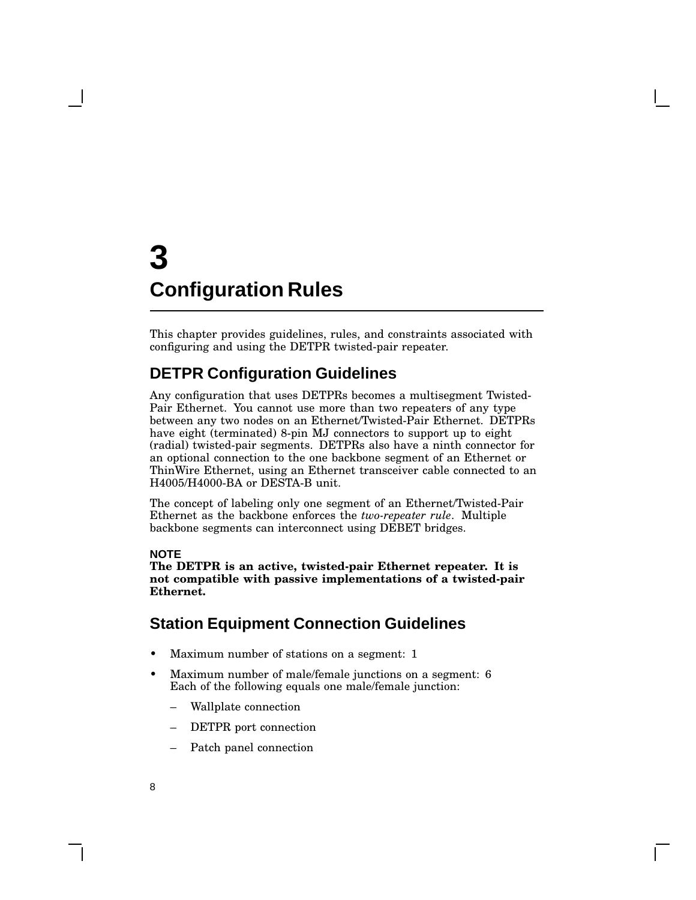# **3 Configuration Rules**

This chapter provides guidelines, rules, and constraints associated with configuring and using the DETPR twisted-pair repeater.

## **DETPR Configuration Guidelines**

Any configuration that uses DETPRs becomes a multisegment Twisted-Pair Ethernet. You cannot use more than two repeaters of any type between any two nodes on an Ethernet/Twisted-Pair Ethernet. DETPRs have eight (terminated) 8-pin MJ connectors to support up to eight (radial) twisted-pair segments. DETPRs also have a ninth connector for an optional connection to the one backbone segment of an Ethernet or ThinWire Ethernet, using an Ethernet transceiver cable connected to an H4005/H4000-BA or DESTA-B unit.

The concept of labeling only one segment of an Ethernet/Twisted-Pair Ethernet as the backbone enforces the *two-repeater rule*. Multiple backbone segments can interconnect using DEBET bridges.

#### **NOTE**

**The DETPR is an active, twisted-pair Ethernet repeater. It is not compatible with passive implementations of a twisted-pair Ethernet.**

## **Station Equipment Connection Guidelines**

- Maximum number of stations on a segment: 1
- Maximum number of male/female junctions on a segment: 6 Each of the following equals one male/female junction:
	- Wallplate connection
	- DETPR port connection
	- Patch panel connection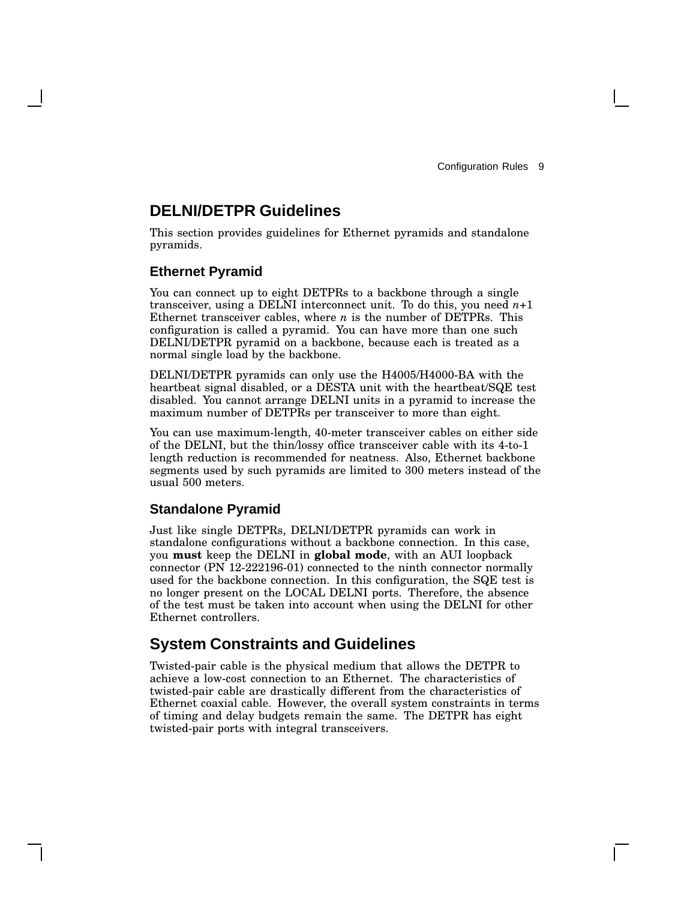## **DELNI/DETPR Guidelines**

This section provides guidelines for Ethernet pyramids and standalone pyramids.

#### **Ethernet Pyramid**

You can connect up to eight DETPRs to a backbone through a single transceiver, using a DELNI interconnect unit. To do this, you need  $n+1$ Ethernet transceiver cables, where *n* is the number of DETPRs. This configuration is called a pyramid. You can have more than one such DELNI/DETPR pyramid on a backbone, because each is treated as a normal single load by the backbone.

DELNI/DETPR pyramids can only use the H4005/H4000-BA with the heartbeat signal disabled, or a DESTA unit with the heartbeat/SQE test disabled. You cannot arrange DELNI units in a pyramid to increase the maximum number of DETPRs per transceiver to more than eight.

You can use maximum-length, 40-meter transceiver cables on either side of the DELNI, but the thin/lossy office transceiver cable with its 4-to-1 length reduction is recommended for neatness. Also, Ethernet backbone segments used by such pyramids are limited to 300 meters instead of the usual 500 meters.

#### **Standalone Pyramid**

Just like single DETPRs, DELNI/DETPR pyramids can work in standalone configurations without a backbone connection. In this case, you **must** keep the DELNI in **global mode**, with an AUI loopback connector (PN 12-222196-01) connected to the ninth connector normally used for the backbone connection. In this configuration, the SQE test is no longer present on the LOCAL DELNI ports. Therefore, the absence of the test must be taken into account when using the DELNI for other Ethernet controllers.

## **System Constraints and Guidelines**

Twisted-pair cable is the physical medium that allows the DETPR to achieve a low-cost connection to an Ethernet. The characteristics of twisted-pair cable are drastically different from the characteristics of Ethernet coaxial cable. However, the overall system constraints in terms of timing and delay budgets remain the same. The DETPR has eight twisted-pair ports with integral transceivers.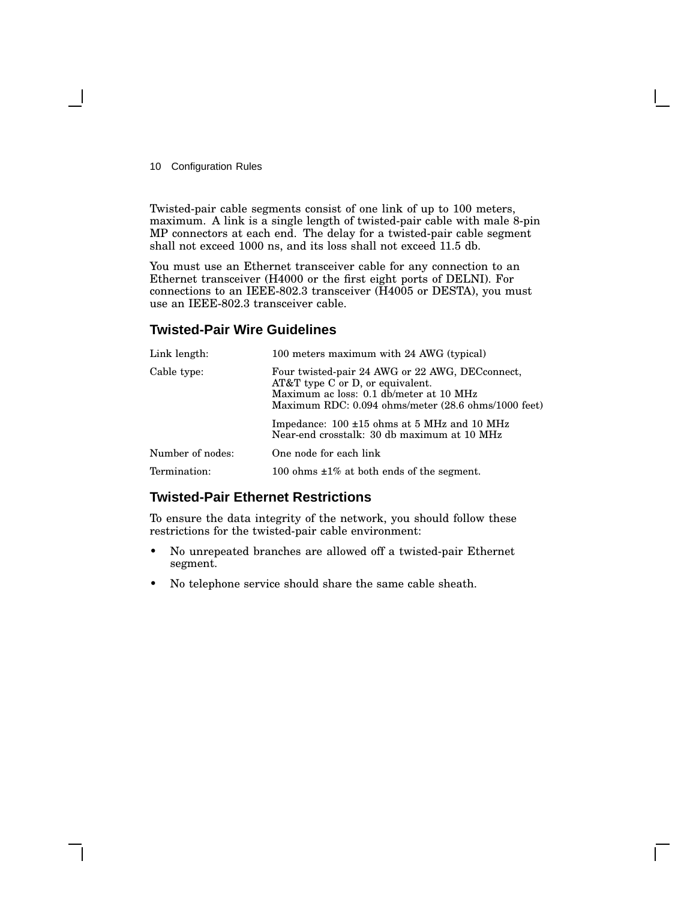10 Configuration Rules

Twisted-pair cable segments consist of one link of up to 100 meters, maximum. A link is a single length of twisted-pair cable with male 8-pin MP connectors at each end. The delay for a twisted-pair cable segment shall not exceed 1000 ns, and its loss shall not exceed 11.5 db.

You must use an Ethernet transceiver cable for any connection to an Ethernet transceiver (H4000 or the first eight ports of DELNI). For connections to an IEEE-802.3 transceiver (H4005 or DESTA), you must use an IEEE-802.3 transceiver cable.

#### **Twisted-Pair Wire Guidelines**

| Link length:     | 100 meters maximum with 24 AWG (typical)                                                                                                                                                |  |
|------------------|-----------------------------------------------------------------------------------------------------------------------------------------------------------------------------------------|--|
| Cable type:      | Four twisted-pair 24 AWG or 22 AWG, DECconnect,<br>$AT&T$ type C or D, or equivalent.<br>Maximum ac loss: 0.1 db/meter at 10 MHz<br>Maximum RDC: 0.094 ohms/meter (28.6 ohms/1000 feet) |  |
|                  | Impedance: $100 \pm 15$ ohms at 5 MHz and 10 MHz<br>Near-end crosstalk: 30 db maximum at 10 MHz                                                                                         |  |
| Number of nodes: | One node for each link                                                                                                                                                                  |  |
| Termination:     | 100 ohms $\pm 1\%$ at both ends of the segment.                                                                                                                                         |  |

### **Twisted-Pair Ethernet Restrictions**

To ensure the data integrity of the network, you should follow these restrictions for the twisted-pair cable environment:

- No unrepeated branches are allowed off a twisted-pair Ethernet segment.
- No telephone service should share the same cable sheath.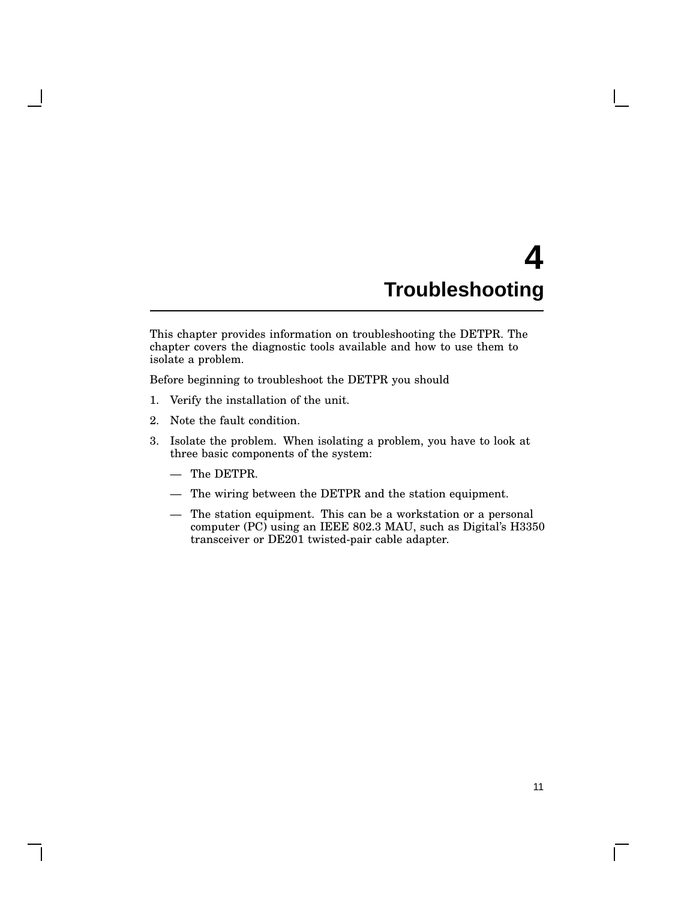# **4 Troubleshooting**

This chapter provides information on troubleshooting the DETPR. The chapter covers the diagnostic tools available and how to use them to isolate a problem.

Before beginning to troubleshoot the DETPR you should

- 1. Verify the installation of the unit.
- 2. Note the fault condition.
- 3. Isolate the problem. When isolating a problem, you have to look at three basic components of the system:
	- The DETPR.
	- The wiring between the DETPR and the station equipment.
	- The station equipment. This can be a workstation or a personal computer (PC) using an IEEE 802.3 MAU, such as Digital's H3350 transceiver or DE201 twisted-pair cable adapter.

 $\mathbf{L}$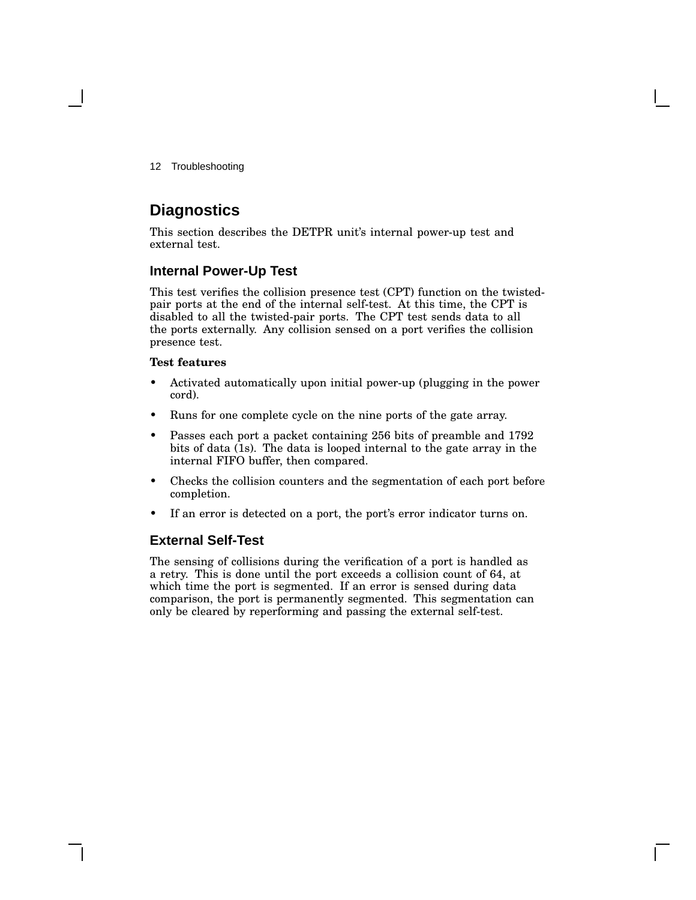12 Troubleshooting

## **Diagnostics**

This section describes the DETPR unit's internal power-up test and external test.

## **Internal Power-Up Test**

This test verifies the collision presence test (CPT) function on the twistedpair ports at the end of the internal self-test. At this time, the CPT is disabled to all the twisted-pair ports. The CPT test sends data to all the ports externally. Any collision sensed on a port verifies the collision presence test.

#### **Test features**

- Activated automatically upon initial power-up (plugging in the power cord).
- Runs for one complete cycle on the nine ports of the gate array.
- Passes each port a packet containing 256 bits of preamble and 1792 bits of data (1s). The data is looped internal to the gate array in the internal FIFO buffer, then compared.
- Checks the collision counters and the segmentation of each port before completion.
- If an error is detected on a port, the port's error indicator turns on.

### **External Self-Test**

The sensing of collisions during the verification of a port is handled as a retry. This is done until the port exceeds a collision count of 64, at which time the port is segmented. If an error is sensed during data comparison, the port is permanently segmented. This segmentation can only be cleared by reperforming and passing the external self-test.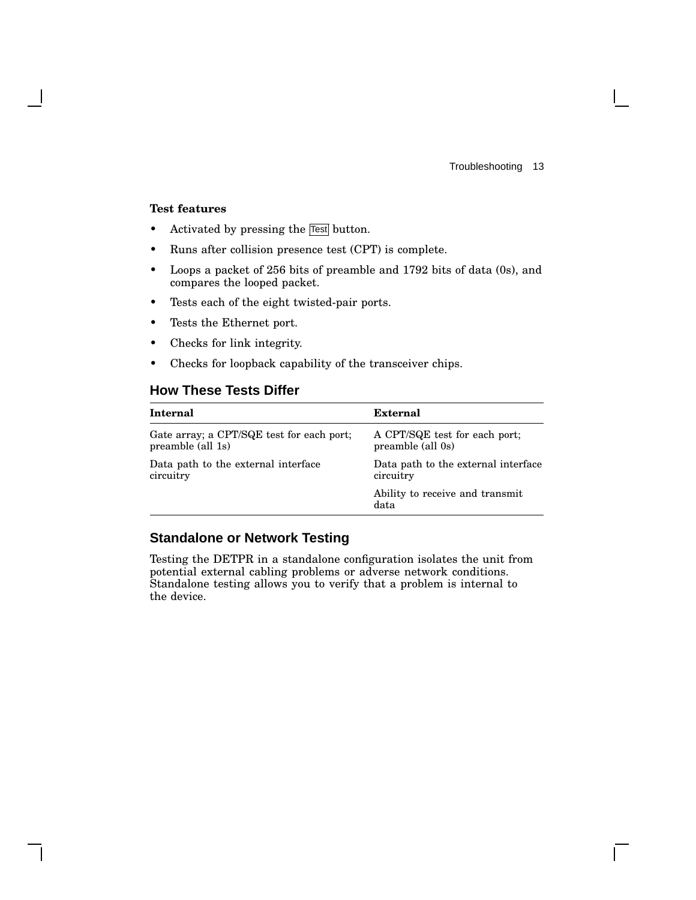$\mathbf{L}$ 

#### **Test features**

- Activated by pressing the Fest button.
- Runs after collision presence test (CPT) is complete.
- Loops a packet of 256 bits of preamble and 1792 bits of data (0s), and compares the looped packet.
- Tests each of the eight twisted-pair ports.
- Tests the Ethernet port.
- Checks for link integrity.
- Checks for loopback capability of the transceiver chips.

### **How These Tests Differ**

| Internal                                  | External                                |
|-------------------------------------------|-----------------------------------------|
| Gate array; a CPT/SQE test for each port; | A CPT/SQE test for each port;           |
| preamble (all 1s)                         | preamble (all 0s)                       |
| Data path to the external interface       | Data path to the external interface     |
| circuitry                                 | circuitry                               |
|                                           | Ability to receive and transmit<br>data |

## **Standalone or Network Testing**

Testing the DETPR in a standalone configuration isolates the unit from potential external cabling problems or adverse network conditions. Standalone testing allows you to verify that a problem is internal to the device.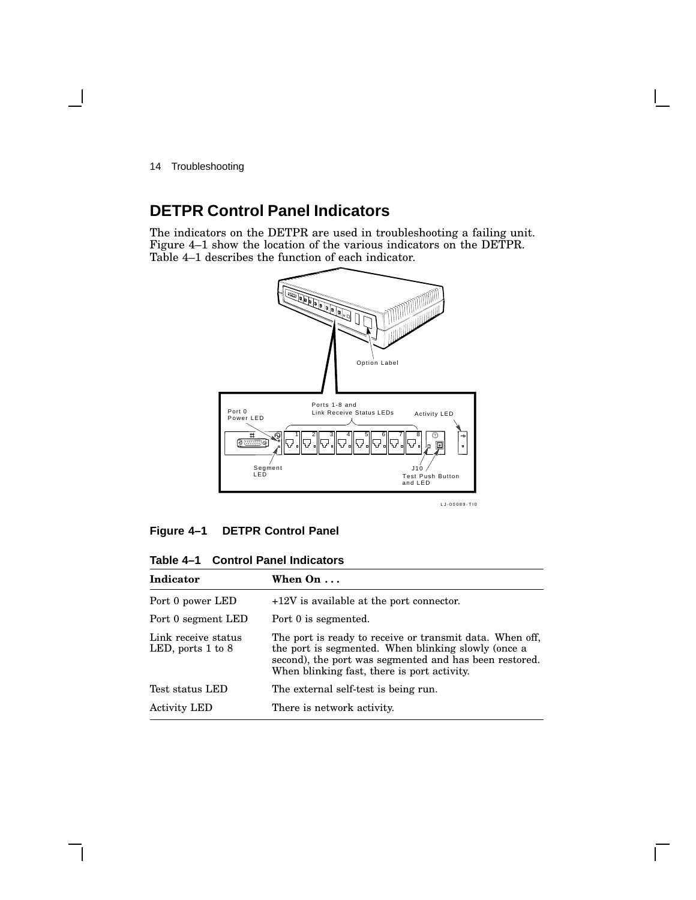14 Troubleshooting

# **DETPR Control Panel Indicators**

The indicators on the DETPR are used in troubleshooting a failing unit. Figure 4–1 show the location of the various indicators on the DETPR. Table 4–1 describes the function of each indicator.



#### **Figure 4–1 DETPR Control Panel**

**Table 4–1 Control Panel Indicators**

| Indicator                                    | When $On \ldots$                                                                                                                                                                                                         |  |
|----------------------------------------------|--------------------------------------------------------------------------------------------------------------------------------------------------------------------------------------------------------------------------|--|
| Port 0 power LED                             | $+12V$ is available at the port connector.                                                                                                                                                                               |  |
| Port 0 segment LED                           | Port 0 is segmented.                                                                                                                                                                                                     |  |
| Link receive status<br>LED, ports $1$ to $8$ | The port is ready to receive or transmit data. When off,<br>the port is segmented. When blinking slowly (once a<br>second), the port was segmented and has been restored.<br>When blinking fast, there is port activity. |  |
| Test status LED                              | The external self-test is being run.                                                                                                                                                                                     |  |
| <b>Activity LED</b>                          | There is network activity.                                                                                                                                                                                               |  |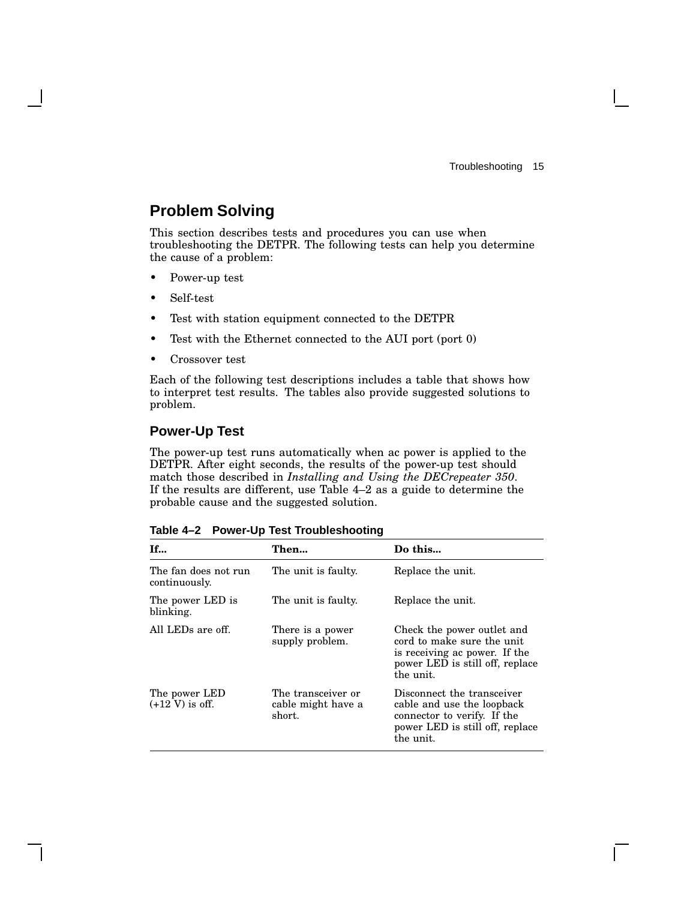# **Problem Solving**

This section describes tests and procedures you can use when troubleshooting the DETPR. The following tests can help you determine the cause of a problem:

- Power-up test
- Self-test
- Test with station equipment connected to the DETPR
- Test with the Ethernet connected to the AUI port (port 0)
- Crossover test

Each of the following test descriptions includes a table that shows how to interpret test results. The tables also provide suggested solutions to problem.

### **Power-Up Test**

The power-up test runs automatically when ac power is applied to the DETPR. After eight seconds, the results of the power-up test should match those described in *Installing and Using the DECrepeater 350*. If the results are different, use Table 4–2 as a guide to determine the probable cause and the suggested solution.

| <b>If</b>                                  | Then                                               | Do this                                                                                                                                   |
|--------------------------------------------|----------------------------------------------------|-------------------------------------------------------------------------------------------------------------------------------------------|
| The fan does not run<br>continuously.      | The unit is faulty.                                | Replace the unit.                                                                                                                         |
| The power LED is<br>blinking.              | The unit is faulty.                                | Replace the unit.                                                                                                                         |
| All LEDs are off.                          | There is a power<br>supply problem.                | Check the power outlet and<br>cord to make sure the unit<br>is receiving ac power. If the<br>power LED is still off, replace<br>the unit. |
| The power LED<br>$(+12 \text{ V})$ is off. | The transceiver or<br>cable might have a<br>short. | Disconnect the transceiver<br>cable and use the loopback<br>connector to verify. If the<br>power LED is still off, replace<br>the unit.   |

**Table 4–2 Power-Up Test Troubleshooting**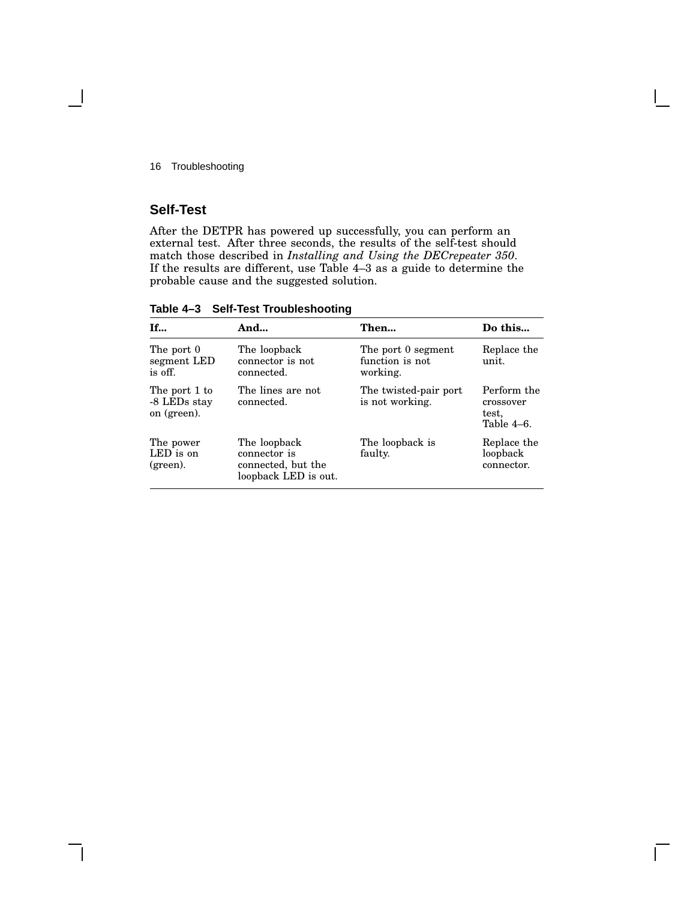16 Troubleshooting

### **Self-Test**

After the DETPR has powered up successfully, you can perform an external test. After three seconds, the results of the self-test should match those described in *Installing and Using the DECrepeater 350*. If the results are different, use Table 4–3 as a guide to determine the probable cause and the suggested solution.

**Table 4–3 Self-Test Troubleshooting**

| <b>If</b>                                    | And                                                                        | Then                                              | Do this                                         |
|----------------------------------------------|----------------------------------------------------------------------------|---------------------------------------------------|-------------------------------------------------|
| The port 0<br>segment LED<br>is off.         | The loopback<br>connector is not<br>connected.                             | The port 0 segment<br>function is not<br>working. | Replace the<br>unit.                            |
| The port 1 to<br>-8 LEDs stay<br>on (green). | The lines are not<br>connected.                                            | The twisted-pair port<br>is not working.          | Perform the<br>crossover<br>test,<br>Table 4–6. |
| The power<br>LED is on<br>(green).           | The loopback<br>connector is<br>connected, but the<br>loopback LED is out. | The loopback is<br>faulty.                        | Replace the<br>loopback<br>connector.           |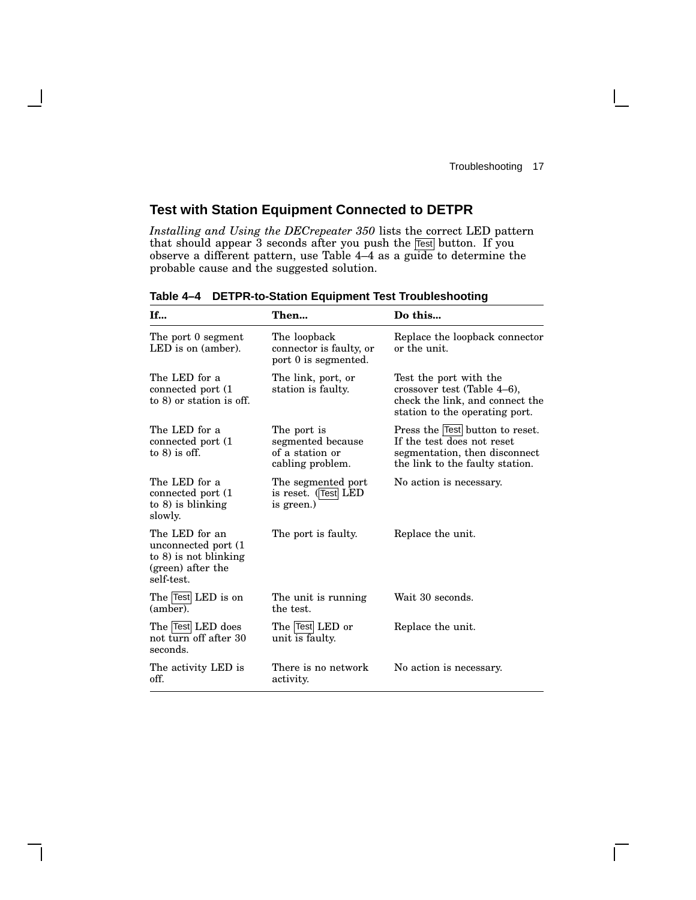$\mathbf{I}$ 

## **Test with Station Equipment Connected to DETPR**

*Installing and Using the DECrepeater 350* lists the correct LED pattern that should appear 3 seconds after you push the Test button. If you observe a different pattern, use Table 4–4 as a guide to determine the probable cause and the suggested solution.

| If                                                                                                    | Then                                                                    | Do this                                                                                                                           |
|-------------------------------------------------------------------------------------------------------|-------------------------------------------------------------------------|-----------------------------------------------------------------------------------------------------------------------------------|
| The port 0 segment<br>LED is on (amber).                                                              | The loopback<br>connector is faulty, or<br>port 0 is segmented.         | Replace the loopback connector<br>or the unit.                                                                                    |
| The LED for a<br>connected port (1)<br>to 8) or station is off.                                       | The link, port, or<br>station is faulty.                                | Test the port with the<br>crossover test (Table 4–6),<br>check the link, and connect the<br>station to the operating port.        |
| The LED for a<br>connected port (1)<br>to $8$ ) is off.                                               | The port is<br>segmented because<br>of a station or<br>cabling problem. | Press the Test button to reset.<br>If the test does not reset<br>segmentation, then disconnect<br>the link to the faulty station. |
| The LED for a<br>connected port (1)<br>to $8$ ) is blinking<br>slowly.                                | The segmented port<br>is reset. (Test LED<br>is green.)                 | No action is necessary.                                                                                                           |
| The LED for an<br>unconnected port (1)<br>to $8$ ) is not blinking<br>(green) after the<br>self-test. | The port is faulty.                                                     | Replace the unit.                                                                                                                 |
| The Test LED is on<br>(amber).                                                                        | The unit is running<br>the test.                                        | Wait 30 seconds.                                                                                                                  |
| The Test LED does<br>not turn off after 30<br>seconds.                                                | The Test LED or<br>unit is faulty.                                      | Replace the unit.                                                                                                                 |
| The activity LED is<br>off.                                                                           | There is no network<br>activity.                                        | No action is necessary.                                                                                                           |

**Table 4–4 DETPR-to-Station Equipment Test Troubleshooting**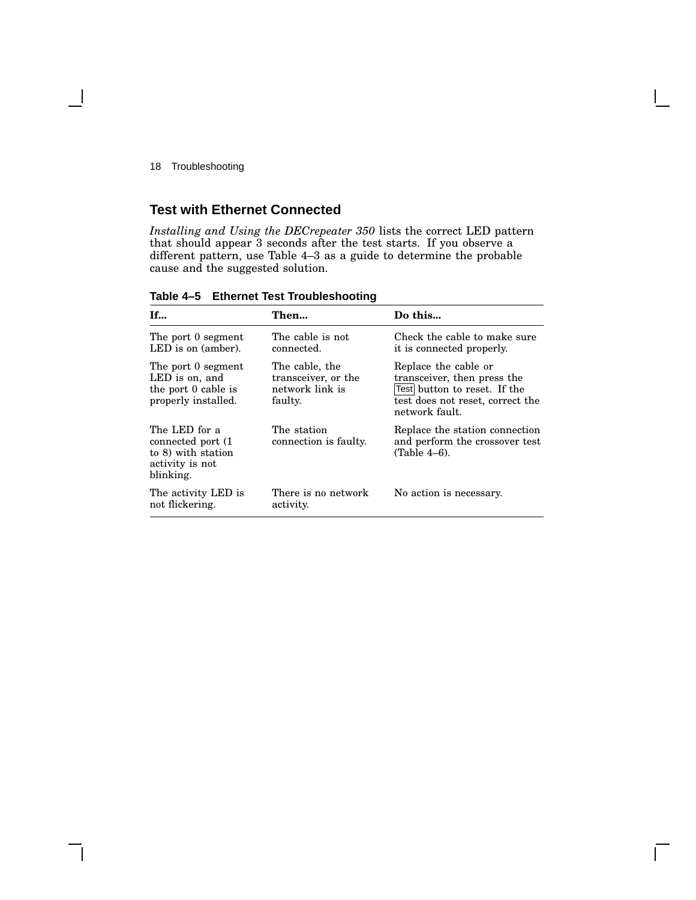#### 18 Troubleshooting

## **Test with Ethernet Connected**

*Installing and Using the DECrepeater 350* lists the correct LED pattern that should appear 3 seconds after the test starts. If you observe a different pattern, use Table 4–3 as a guide to determine the probable cause and the suggested solution.

| If                                                                                        | Then                                                                | Do this                                                                                                                                   |
|-------------------------------------------------------------------------------------------|---------------------------------------------------------------------|-------------------------------------------------------------------------------------------------------------------------------------------|
| The port 0 segment<br>$LED$ is on $(amber)$ .                                             | The cable is not<br>connected.                                      | Check the cable to make sure<br>it is connected properly.                                                                                 |
| The port 0 segment<br>LED is on, and<br>the port 0 cable is<br>properly installed.        | The cable, the<br>transceiver, or the<br>network link is<br>faulty. | Replace the cable or<br>transceiver, then press the<br>Test button to reset. If the<br>test does not reset, correct the<br>network fault. |
| The LED for a<br>connected port (1)<br>to 8) with station<br>activity is not<br>blinking. | The station<br>connection is faulty.                                | Replace the station connection<br>and perform the crossover test<br>(Table 4–6).                                                          |
| The activity LED is<br>not flickering.                                                    | There is no network<br>activity.                                    | No action is necessary.                                                                                                                   |

**Table 4–5 Ethernet Test Troubleshooting**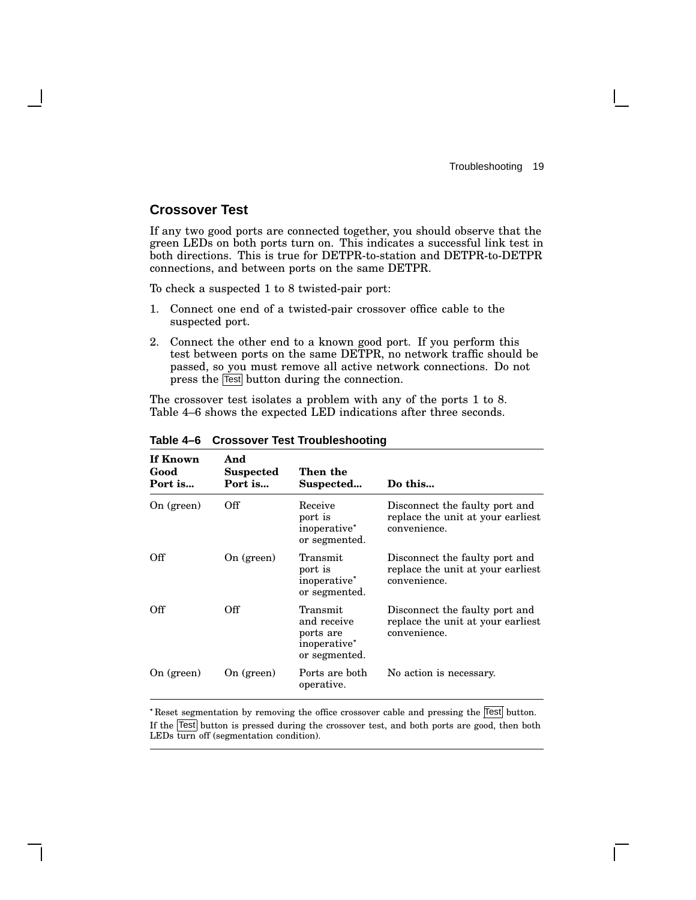#### **Crossover Test**

If any two good ports are connected together, you should observe that the green LEDs on both ports turn on. This indicates a successful link test in both directions. This is true for DETPR-to-station and DETPR-to-DETPR connections, and between ports on the same DETPR.

To check a suspected 1 to 8 twisted-pair port:

- 1. Connect one end of a twisted-pair crossover office cable to the suspected port.
- 2. Connect the other end to a known good port. If you perform this test between ports on the same DETPR, no network traffic should be passed, so you must remove all active network connections. Do not press the Test button during the connection.

The crossover test isolates a problem with any of the ports 1 to 8. Table 4–6 shows the expected LED indications after three seconds.

| If Known<br>Good<br>Port is | And<br><b>Suspected</b><br>Port is | Then the<br>Suspected                                                 | Do this                                                                             |
|-----------------------------|------------------------------------|-----------------------------------------------------------------------|-------------------------------------------------------------------------------------|
| On $(green)$                | Off                                | Receive<br>port is<br>inoperative*<br>or segmented.                   | Disconnect the faulty port and<br>replace the unit at your earliest<br>convenience. |
| Off                         | On (green)                         | Transmit<br>port is<br>inoperative*<br>or segmented.                  | Disconnect the faulty port and<br>replace the unit at your earliest<br>convenience. |
| Off                         | Off                                | Transmit<br>and receive<br>ports are<br>inoperative*<br>or segmented. | Disconnect the faulty port and<br>replace the unit at your earliest<br>convenience. |
| On $(green)$                | On (green)                         | Ports are both<br>operative.                                          | No action is necessary.                                                             |

**Table 4–6 Crossover Test Troubleshooting**

Reset segmentation by removing the office crossover cable and pressing the Test button. If the Test button is pressed during the crossover test, and both ports are good, then both LEDs turn off (segmentation condition).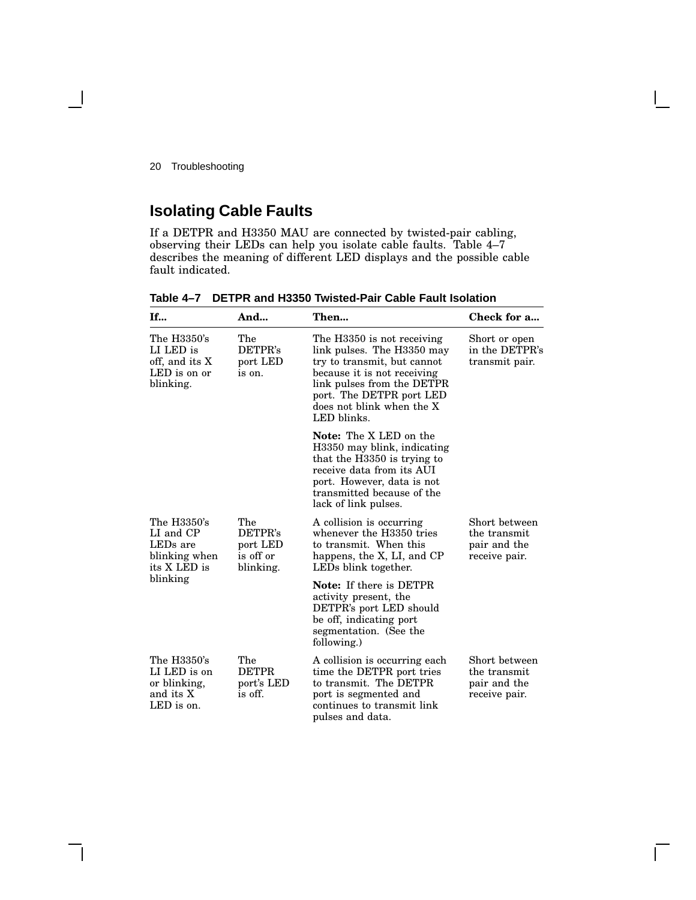20 Troubleshooting

# **Isolating Cable Faults**

If a DETPR and H3350 MAU are connected by twisted-pair cabling, observing their LEDs can help you isolate cable faults. Table 4–7 describes the meaning of different LED displays and the possible cable fault indicated.

| If                                                                                | And                                                  | Then                                                                                                                                                                                                                         | Check for a                                                    |
|-----------------------------------------------------------------------------------|------------------------------------------------------|------------------------------------------------------------------------------------------------------------------------------------------------------------------------------------------------------------------------------|----------------------------------------------------------------|
| The H3350's<br>LI LED is<br>off, and its X<br>LED is on or<br>blinking.           | The<br>DETPR's<br>port LED<br>is on.                 | The H3350 is not receiving<br>link pulses. The H3350 may<br>try to transmit, but cannot<br>because it is not receiving<br>link pulses from the DETPR<br>port. The DETPR port LED<br>does not blink when the X<br>LED blinks. | Short or open<br>in the DETPR's<br>transmit pair.              |
|                                                                                   |                                                      | <b>Note:</b> The X LED on the<br>H3350 may blink, indicating<br>that the H3350 is trying to<br>receive data from its AUI<br>port. However, data is not<br>transmitted because of the<br>lack of link pulses.                 |                                                                |
| The H3350's<br>LI and CP<br>LED <sub>s</sub> are<br>blinking when<br>its X LED is | The<br>DETPR's<br>port LED<br>is off or<br>blinking. | A collision is occurring<br>whenever the H3350 tries<br>to transmit. When this<br>happens, the X, LI, and CP<br>LEDs blink together.                                                                                         | Short between<br>the transmit<br>pair and the<br>receive pair. |
| blinking                                                                          |                                                      | <b>Note:</b> If there is DETPR<br>activity present, the<br>DETPR's port LED should<br>be off, indicating port<br>segmentation. (See the<br>following.)                                                                       |                                                                |
| The H3350's<br>LI LED is on<br>or blinking,<br>and its X<br>LED is on.            | The<br><b>DETPR</b><br>port's LED<br>is off.         | A collision is occurring each<br>time the DETPR port tries<br>to transmit. The DETPR<br>port is segmented and<br>continues to transmit link<br>pulses and data.                                                              | Short between<br>the transmit<br>pair and the<br>receive pair. |

#### **Table 4–7 DETPR and H3350 Twisted-Pair Cable Fault Isolation**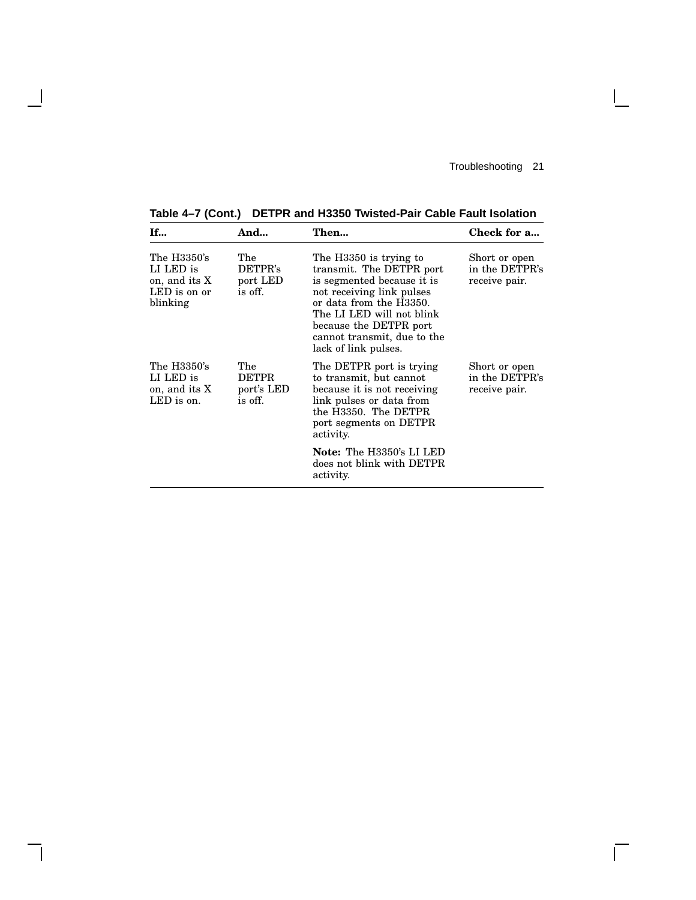$\mathsf{I}$ 

 $\overline{\Gamma}$ 

**Table 4–7 (Cont.) DETPR and H3350 Twisted-Pair Cable Fault Isolation**

 $\overline{\phantom{a}}$ 

H

| <b>If</b>                                                             | And                                          | Then                                                                                                                                                                                                                                                   | Check for a                                      |
|-----------------------------------------------------------------------|----------------------------------------------|--------------------------------------------------------------------------------------------------------------------------------------------------------------------------------------------------------------------------------------------------------|--------------------------------------------------|
| The H3350's<br>LI LED is<br>on, and its X<br>LED is on or<br>blinking | The<br>DETPR's<br>port LED<br>is off.        | The H3350 is trying to<br>transmit. The DETPR port<br>is segmented because it is<br>not receiving link pulses<br>or data from the H3350.<br>The LI LED will not blink<br>because the DETPR port<br>cannot transmit, due to the<br>lack of link pulses. | Short or open<br>in the DETPR's<br>receive pair. |
| The H3350's<br>LI LED is<br>on, and its X<br>LED is on.               | The<br><b>DETPR</b><br>port's LED<br>is off. | The DETPR port is trying<br>to transmit, but cannot<br>because it is not receiving<br>link pulses or data from<br>the H3350. The DETPR<br>port segments on DETPR<br>activity.                                                                          | Short or open<br>in the DETPR's<br>receive pair. |
|                                                                       |                                              | <b>Note:</b> The H3350's LI LED<br>does not blink with DETPR<br>activity.                                                                                                                                                                              |                                                  |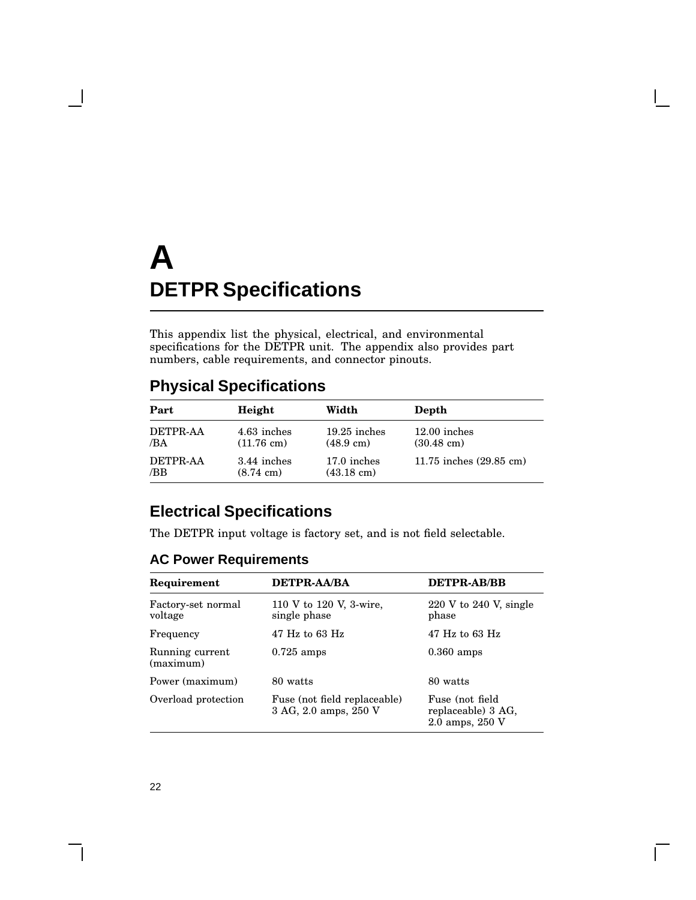This appendix list the physical, electrical, and environmental specifications for the DETPR unit. The appendix also provides part numbers, cable requirements, and connector pinouts.

# **Physical Specifications**

| Part            | Height               | Width                | Depth                   |
|-----------------|----------------------|----------------------|-------------------------|
| DETPR-AA        | 4.63 inches          | $19.25$ inches       | $12.00$ inches          |
| /BA             | $(11.76 \text{ cm})$ | $(48.9 \text{ cm})$  | $(30.48 \text{ cm})$    |
| <b>DETPR-AA</b> | 3.44 inches          | 17.0 inches          | 11.75 inches (29.85 cm) |
| /BB             | $(8.74 \text{ cm})$  | $(43.18 \text{ cm})$ |                         |

# **Electrical Specifications**

The DETPR input voltage is factory set, and is not field selectable.

## **AC Power Requirements**

| Requirement                   | <b>DETPR-AA/BA</b>                                    | <b>DETPR-AB/BB</b>                                       |
|-------------------------------|-------------------------------------------------------|----------------------------------------------------------|
| Factory-set normal<br>voltage | 110 V to 120 V, 3-wire,<br>single phase               | $220 \text{ V}$ to $240 \text{ V}$ , single<br>phase     |
| Frequency                     | $47$ Hz to 63 Hz                                      | $47$ Hz to 63 Hz                                         |
| Running current<br>(maximum)  | $0.725$ amps                                          | $0.360$ amps                                             |
| Power (maximum)               | 80 watts                                              | 80 watts                                                 |
| Overload protection           | Fuse (not field replaceable)<br>3 AG, 2.0 amps, 250 V | Fuse (not field<br>replaceable) 3 AG,<br>2.0 amps, 250 V |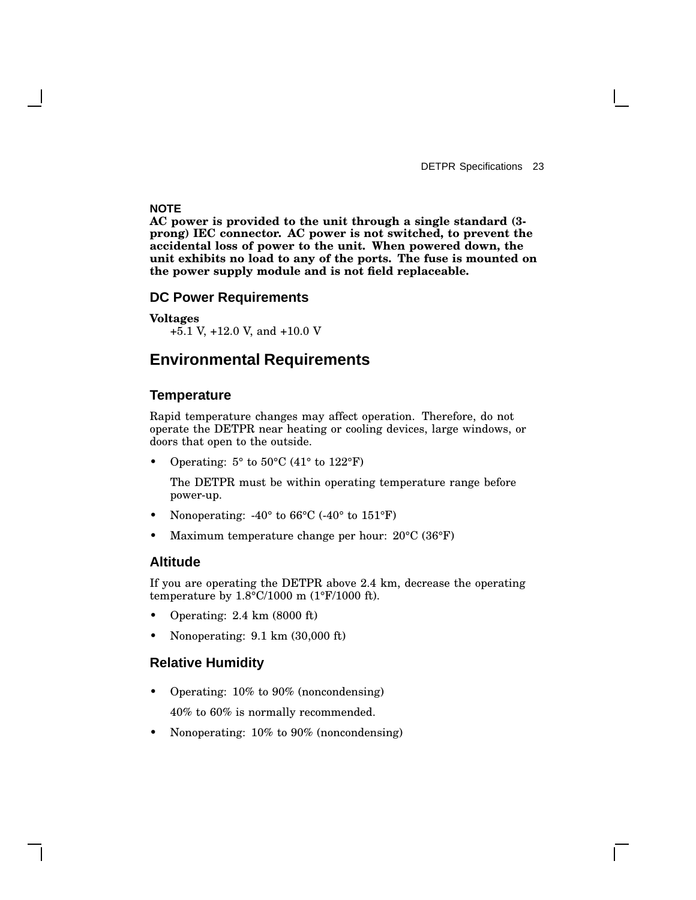#### **NOTE**

**AC power is provided to the unit through a single standard (3 prong) IEC connector. AC power is not switched, to prevent the accidental loss of power to the unit. When powered down, the unit exhibits no load to any of the ports. The fuse is mounted on the power supply module and is not field replaceable.**

#### **DC Power Requirements**

**Voltages** +5.1 V, +12.0 V, and +10.0 V

### **Environmental Requirements**

#### **Temperature**

Rapid temperature changes may affect operation. Therefore, do not operate the DETPR near heating or cooling devices, large windows, or doors that open to the outside.

• Operating:  $5^{\circ}$  to  $50^{\circ}$ C (41° to  $122^{\circ}$ F)

The DETPR must be within operating temperature range before power-up.

- Nonoperating:  $-40^{\circ}$  to 66 $^{\circ}$ C ( $-40^{\circ}$  to 151 $^{\circ}$ F)
- Maximum temperature change per hour: 20°C (36°F)

#### **Altitude**

If you are operating the DETPR above 2.4 km, decrease the operating temperature by 1.8°C/1000 m (1°F/1000 ft).

- Operating: 2.4 km (8000 ft)
- Nonoperating: 9.1 km (30,000 ft)

#### **Relative Humidity**

- Operating: 10% to 90% (noncondensing) 40% to 60% is normally recommended.
- Nonoperating: 10% to 90% (noncondensing)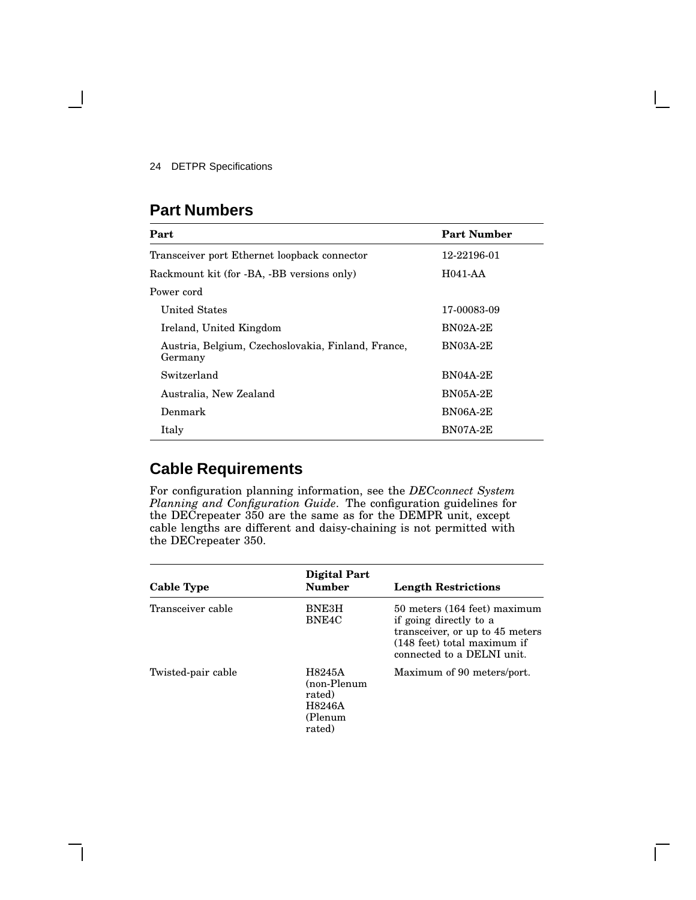# **Part Numbers**

| Part                                                          | <b>Part Number</b> |
|---------------------------------------------------------------|--------------------|
| Transceiver port Ethernet loopback connector                  | 12-22196-01        |
| Rackmount kit (for -BA, -BB versions only)                    | H041-AA            |
| Power cord                                                    |                    |
| United States                                                 | 17-00083-09        |
| Ireland, United Kingdom                                       | <b>BN02A-2E</b>    |
| Austria, Belgium, Czechoslovakia, Finland, France,<br>Germany | $BN03A-2E$         |
| Switzerland                                                   | <b>BN04A-2E</b>    |
| Australia, New Zealand                                        | $BN05A-2E$         |
| Denmark                                                       | <b>BN06A-2E</b>    |
| Italy                                                         | BN07A-2E           |

# **Cable Requirements**

For configuration planning information, see the *DECconnect System Planning and Configuration Guide*. The configuration guidelines for the DECrepeater 350 are the same as for the DEMPR unit, except cable lengths are different and daisy-chaining is not permitted with the DECrepeater 350.

| Cable Type         | Digital Part<br><b>Number</b>                                  | <b>Length Restrictions</b>                                                                                                                             |
|--------------------|----------------------------------------------------------------|--------------------------------------------------------------------------------------------------------------------------------------------------------|
| Transceiver cable  | BNE3H<br>BNE4C                                                 | 50 meters (164 feet) maximum<br>if going directly to a<br>transceiver, or up to 45 meters<br>(148 feet) total maximum if<br>connected to a DELNI unit. |
| Twisted-pair cable | H8245A<br>(non-Plenum<br>rated)<br>H8246A<br>(Plenum<br>rated) | Maximum of 90 meters/port.                                                                                                                             |

 $\mathsf{L}$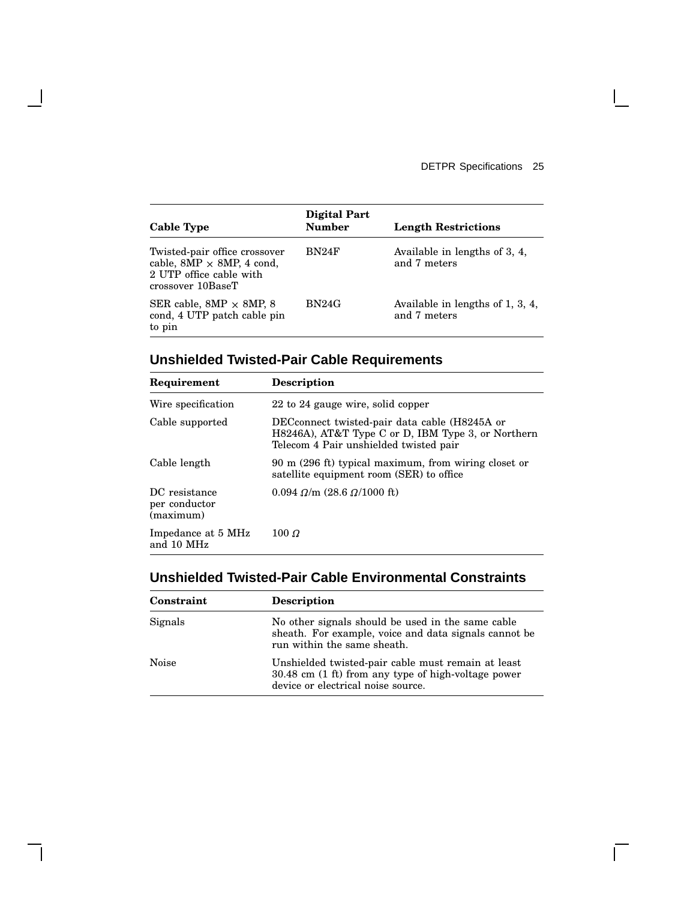$\mathbf{I}$ 

 $\overline{\Gamma}$ 

| Cable Type                                                                                                         | <b>Digital Part</b><br><b>Number</b> | <b>Length Restrictions</b>                       |
|--------------------------------------------------------------------------------------------------------------------|--------------------------------------|--------------------------------------------------|
| Twisted-pair office crossover<br>cable, $8MP \times 8MP$ , 4 cond,<br>2 UTP office cable with<br>crossover 10BaseT | BN24F                                | Available in lengths of 3, 4,<br>and 7 meters    |
| SER cable, $8MP \times 8MP$ , 8<br>cond, 4 UTP patch cable pin<br>to pin                                           | BN24G                                | Available in lengths of 1, 3, 4,<br>and 7 meters |

# **Unshielded Twisted-Pair Cable Requirements**

 $\overline{\phantom{a}}$ 

| Requirement                                 | <b>Description</b>                                                                                                                            |
|---------------------------------------------|-----------------------------------------------------------------------------------------------------------------------------------------------|
| Wire specification                          | 22 to 24 gauge wire, solid copper                                                                                                             |
| Cable supported                             | DECconnect twisted-pair data cable (H8245A or<br>H8246A), AT&T Type C or D, IBM Type 3, or Northern<br>Telecom 4 Pair unshielded twisted pair |
| Cable length                                | 90 m (296 ft) typical maximum, from wiring closet or<br>satellite equipment room (SER) to office                                              |
| DC resistance<br>per conductor<br>(maximum) | $0.094 \Omega/m$ (28.6 $\Omega/1000$ ft)                                                                                                      |
| Impedance at 5 MHz<br>and 10 MHz            | 100 $\Omega$                                                                                                                                  |

## **Unshielded Twisted-Pair Cable Environmental Constraints**

| Constraint | <b>Description</b>                                                                                                                              |
|------------|-------------------------------------------------------------------------------------------------------------------------------------------------|
| Signals    | No other signals should be used in the same cable<br>sheath. For example, voice and data signals cannot be<br>run within the same sheath.       |
| Noise      | Unshielded twisted-pair cable must remain at least<br>30.48 cm (1 ft) from any type of high-voltage power<br>device or electrical noise source. |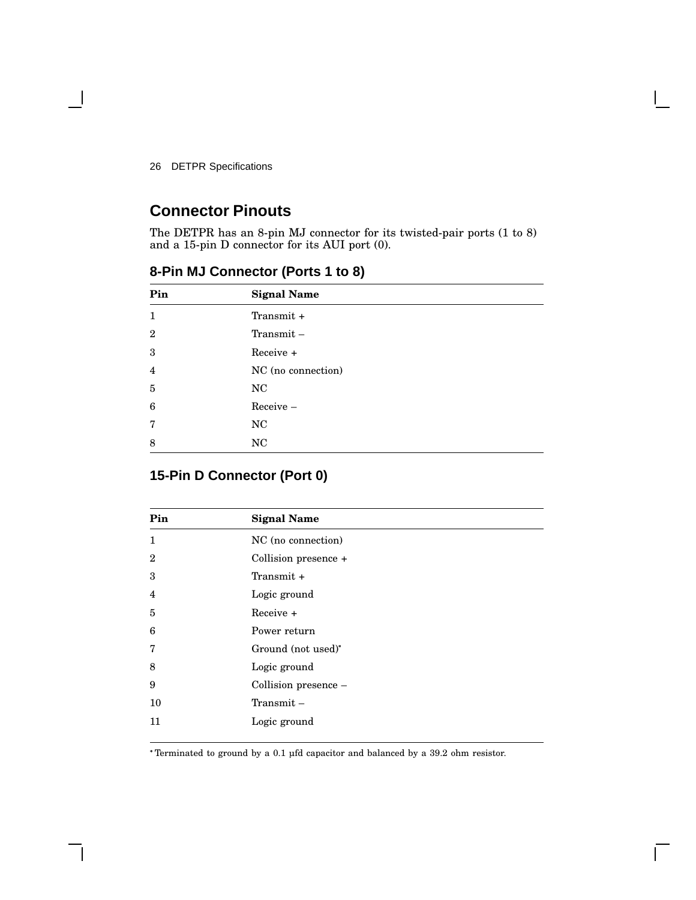# **Connector Pinouts**

The DETPR has an 8-pin MJ connector for its twisted-pair ports (1 to 8) and a 15-pin D connector for its AUI port (0).

| Pin          | <b>Signal Name</b> |
|--------------|--------------------|
| $\mathbf{1}$ | Transmit +         |
| $\mathbf{2}$ | $Transmit -$       |
| 3            | Receive +          |
| 4            | NC (no connection) |
| 5            | NC                 |
| 6            | Receive-           |
| 7            | NC                 |
| 8            | NC                 |

**8-Pin MJ Connector (Ports 1 to 8)**

## **15-Pin D Connector (Port 0)**

| Pin            | <b>Signal Name</b>   |
|----------------|----------------------|
| $\mathbf{1}$   | NC (no connection)   |
| $\mathbf{2}$   | Collision presence + |
| 3              | Transmit +           |
| $\overline{4}$ | Logic ground         |
| 5              | $Receive +$          |
| 6              | Power return         |
| 7              | Ground (not used)*   |
| 8              | Logic ground         |
| 9              | Collision presence - |
| 10             | $Transmit -$         |
| 11             | Logic ground         |
|                |                      |

Terminated to ground by a 0.1 µfd capacitor and balanced by a 39.2 ohm resistor.